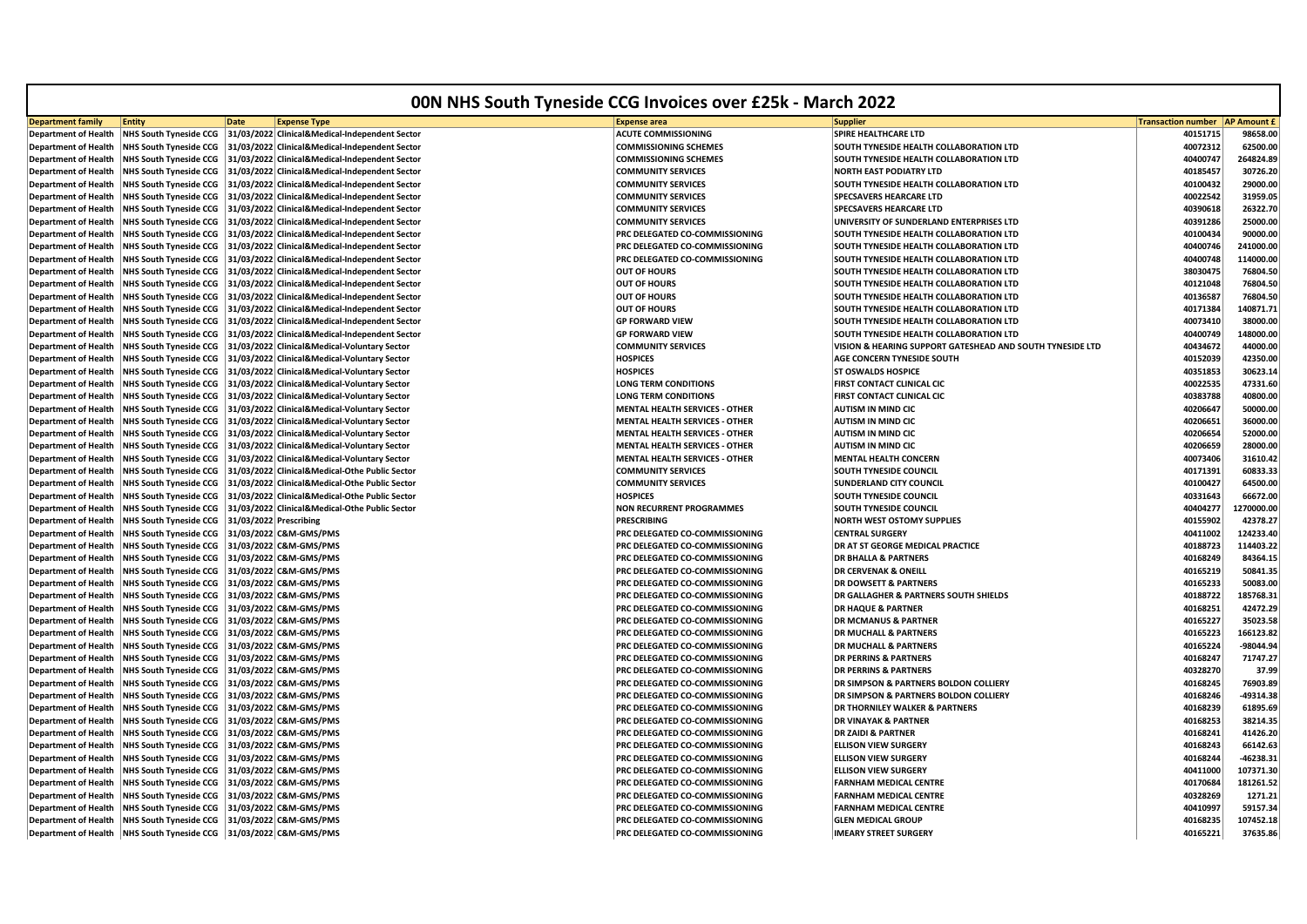| 00N NHS South Tyneside CCG Invoices over £25k - March 2022 |                                                 |                        |                                                                         |                                                                         |                                                           |                           |                    |
|------------------------------------------------------------|-------------------------------------------------|------------------------|-------------------------------------------------------------------------|-------------------------------------------------------------------------|-----------------------------------------------------------|---------------------------|--------------------|
| <b>Department family</b>                                   | <b>Entity</b>                                   | <b>Date</b>            | <b>Expense Type</b>                                                     | <b>Expense area</b>                                                     | Supplier                                                  | <b>Transaction number</b> | <b>AP Amount £</b> |
| <b>Department of Health</b>                                | <b>NHS South Tyneside CCG</b>                   |                        | 31/03/2022 Clinical&Medical-Independent Sector                          | <b>ACUTE COMMISSIONING</b>                                              | SPIRE HEALTHCARE LTD                                      | 40151715                  | 98658.00           |
| Department of Health                                       | <b>NHS South Tyneside CCG</b>                   |                        | 31/03/2022 Clinical&Medical-Independent Sector                          | <b>COMMISSIONING SCHEMES</b>                                            | SOUTH TYNESIDE HEALTH COLLABORATION LTD                   | 40072312                  | 62500.00           |
| <b>Department of Health</b>                                | <b>NHS South Tyneside CCG</b>                   |                        | 31/03/2022 Clinical&Medical-Independent Sector                          | <b>COMMISSIONING SCHEMES</b>                                            | SOUTH TYNESIDE HEALTH COLLABORATION LTD                   | 40400747                  | 264824.89          |
| Department of Health                                       | <b>NHS South Tyneside CCG</b>                   |                        | 31/03/2022 Clinical&Medical-Independent Sector                          | <b>COMMUNITY SERVICES</b>                                               | <b>NORTH EAST PODIATRY LTD</b>                            | 40185457                  | 30726.20           |
| <b>Department of Health</b>                                | <b>NHS South Tyneside CCG</b>                   |                        | 31/03/2022 Clinical&Medical-Independent Sector                          | <b>COMMUNITY SERVICES</b>                                               | SOUTH TYNESIDE HEALTH COLLABORATION LTD                   | 40100432                  | 29000.00           |
| <b>Department of Health</b>                                |                                                 |                        | NHS South Tyneside CCG   31/03/2022 Clinical&Medical-Independent Sector | <b>COMMUNITY SERVICES</b>                                               | <b>SPECSAVERS HEARCARE LTD</b>                            | 40022542                  | 31959.05           |
| <b>Department of Health</b>                                | <b>NHS South Tyneside CCG</b>                   |                        | 31/03/2022 Clinical&Medical-Independent Sector                          | <b>COMMUNITY SERVICES</b>                                               | SPECSAVERS HEARCARE LTD                                   | 40390618                  | 26322.70           |
| <b>Department of Health</b>                                | <b>NHS South Tyneside CCG</b>                   |                        | 31/03/2022 Clinical&Medical-Independent Sector                          | <b>COMMUNITY SERVICES</b>                                               | UNIVERSITY OF SUNDERLAND ENTERPRISES LTD                  | 40391286                  | 25000.00           |
| <b>Department of Health</b>                                | <b>NHS South Tyneside CCG</b>                   |                        | 31/03/2022 Clinical&Medical-Independent Sector                          | PRC DELEGATED CO-COMMISSIONING                                          | SOUTH TYNESIDE HEALTH COLLABORATION LTD                   | 40100434                  | 90000.00           |
| <b>Department of Health</b>                                | <b>NHS South Tyneside CCG</b>                   |                        | 31/03/2022 Clinical&Medical-Independent Sector                          | PRC DELEGATED CO-COMMISSIONING                                          | SOUTH TYNESIDE HEALTH COLLABORATION LTD                   | 40400746                  | 241000.00          |
| <b>Department of Health</b>                                | <b>NHS South Tyneside CCG</b>                   |                        | 31/03/2022 Clinical&Medical-Independent Sector                          | PRC DELEGATED CO-COMMISSIONING                                          | SOUTH TYNESIDE HEALTH COLLABORATION LTD                   | 40400748                  | 114000.00          |
| <b>Department of Health</b>                                | <b>NHS South Tyneside CCG</b>                   |                        | 31/03/2022 Clinical&Medical-Independent Sector                          | <b>OUT OF HOURS</b>                                                     | SOUTH TYNESIDE HEALTH COLLABORATION LTD                   | 38030475                  | 76804.50           |
| <b>Department of Health</b>                                | <b>NHS South Tyneside CCG</b>                   |                        | 31/03/2022 Clinical&Medical-Independent Sector                          | <b>OUT OF HOURS</b>                                                     | SOUTH TYNESIDE HEALTH COLLABORATION LTD                   | 40121048                  | 76804.50           |
| <b>Department of Health</b>                                | <b>NHS South Tyneside CCG</b>                   |                        | 31/03/2022 Clinical&Medical-Independent Sector                          | <b>OUT OF HOURS</b>                                                     | SOUTH TYNESIDE HEALTH COLLABORATION LTD                   | 40136587                  | 76804.50           |
| Department of Health                                       | <b>NHS South Tyneside CCG</b>                   |                        | 31/03/2022 Clinical&Medical-Independent Sector                          | <b>OUT OF HOURS</b>                                                     | SOUTH TYNESIDE HEALTH COLLABORATION LTD                   | 40171384                  | 140871.71          |
| <b>Department of Health</b>                                | <b>NHS South Tyneside CCG</b>                   |                        | 31/03/2022 Clinical&Medical-Independent Sector                          | <b>GP FORWARD VIEW</b>                                                  | SOUTH TYNESIDE HEALTH COLLABORATION LTD                   | 40073410                  | 38000.00           |
| Department of Health                                       | <b>NHS South Tyneside CCG</b>                   |                        | 31/03/2022 Clinical&Medical-Independent Sector                          | <b>GP FORWARD VIEW</b>                                                  | SOUTH TYNESIDE HEALTH COLLABORATION LTD                   | 40400749                  | 148000.00          |
| <b>Department of Health</b>                                | <b>NHS South Tyneside CCG</b>                   |                        | 31/03/2022 Clinical&Medical-Voluntary Sector                            | <b>COMMUNITY SERVICES</b>                                               | VISION & HEARING SUPPORT GATESHEAD AND SOUTH TYNESIDE LTD | 40434672                  | 44000.00           |
| <b>Department of Health</b>                                | <b>NHS South Tyneside CCG</b>                   |                        | 31/03/2022 Clinical&Medical-Voluntary Sector                            | HOSPICES                                                                | AGE CONCERN TYNESIDE SOUTH                                | 40152039                  | 42350.00           |
| <b>Department of Health</b>                                | <b>NHS South Tyneside CCG</b>                   |                        | 31/03/2022 Clinical&Medical-Voluntary Sector                            | <b>HOSPICES</b>                                                         | <b>ST OSWALDS HOSPICE</b>                                 | 40351853                  | 30623.14           |
| <b>Department of Health</b>                                | <b>NHS South Tyneside CCG</b>                   |                        | 31/03/2022 Clinical&Medical-Voluntary Sector                            | LONG TERM CONDITIONS                                                    | FIRST CONTACT CLINICAL CIC                                | 40022535                  | 47331.60           |
| <b>Department of Health</b>                                | <b>NHS South Tyneside CCG</b>                   |                        | 31/03/2022 Clinical&Medical-Voluntary Sector                            | <b>LONG TERM CONDITIONS</b>                                             | FIRST CONTACT CLINICAL CIC                                | 40383788                  | 40800.00           |
| <b>Department of Health</b>                                | <b>NHS South Tyneside CCG</b>                   |                        | 31/03/2022 Clinical&Medical-Voluntary Sector                            | <b>MENTAL HEALTH SERVICES - OTHER</b>                                   | <b>AUTISM IN MIND CIC</b>                                 | 40206647                  | 50000.00           |
| <b>Department of Health</b>                                | <b>NHS South Tyneside CCG</b>                   |                        | 31/03/2022 Clinical&Medical-Voluntary Sector                            | <b>MENTAL HEALTH SERVICES - OTHER</b>                                   | <b>AUTISM IN MIND CIC</b>                                 | 40206651                  | 36000.00           |
| <b>Department of Health</b>                                | <b>NHS South Tyneside CCG</b>                   |                        | 31/03/2022 Clinical&Medical-Voluntary Sector                            | <b>MENTAL HEALTH SERVICES - OTHER</b>                                   | <b>AUTISM IN MIND CIC</b>                                 | 40206654                  | 52000.00           |
| Department of Health                                       | <b>NHS South Tyneside CCG</b>                   |                        | 31/03/2022 Clinical&Medical-Voluntary Sector                            | <b>MENTAL HEALTH SERVICES - OTHER</b>                                   | <b>AUTISM IN MIND CIC</b>                                 | 40206659                  | 28000.00           |
| <b>Department of Health</b>                                | <b>NHS South Tyneside CCG</b>                   |                        | 31/03/2022 Clinical&Medical-Voluntary Sector                            | <b>MENTAL HEALTH SERVICES - OTHER</b>                                   | <b>MENTAL HEALTH CONCERN</b>                              | 40073406                  | 31610.42           |
| <b>Department of Health</b>                                |                                                 |                        | NHS South Tyneside CCG   31/03/2022 Clinical&Medical-Othe Public Sector | <b>COMMUNITY SERVICES</b>                                               | SOUTH TYNESIDE COUNCIL                                    | 40171391                  | 60833.33           |
| <b>Department of Health</b>                                | <b>NHS South Tyneside CCG</b>                   |                        | 31/03/2022 Clinical&Medical-Othe Public Sector                          | <b>COMMUNITY SERVICES</b>                                               | <b>SUNDERLAND CITY COUNCIL</b>                            | 40100427                  | 64500.00           |
| <b>Department of Health</b>                                | <b>NHS South Tyneside CCG</b>                   |                        | 31/03/2022 Clinical&Medical-Othe Public Sector                          | <b>HOSPICES</b>                                                         | SOUTH TYNESIDE COUNCIL                                    | 40331643                  | 66672.00           |
| <b>Department of Health</b>                                | <b>NHS South Tyneside CCG</b>                   |                        | 31/03/2022 Clinical&Medical-Othe Public Sector                          | <b>NON RECURRENT PROGRAMMES</b>                                         | SOUTH TYNESIDE COUNCIL                                    | 40404277                  | 1270000.00         |
| <b>Department of Health</b>                                | <b>NHS South Tyneside CCG</b>                   | 31/03/2022 Prescribing |                                                                         | <b>PRESCRIBING</b>                                                      | <b>NORTH WEST OSTOMY SUPPLIES</b>                         | 40155902                  | 42378.27           |
| <b>Department of Health</b>                                | <b>NHS South Tyneside CCG</b>                   |                        | 31/03/2022 C&M-GMS/PMS                                                  | PRC DELEGATED CO-COMMISSIONING                                          | <b>CENTRAL SURGERY</b>                                    | 40411002                  | 124233.40          |
| <b>Department of Health</b>                                | <b>NHS South Tyneside CCG</b>                   |                        | 31/03/2022 C&M-GMS/PMS                                                  | PRC DELEGATED CO-COMMISSIONING                                          | DR AT ST GEORGE MEDICAL PRACTICE                          | 40188723                  | 114403.22          |
| <b>Department of Health</b>                                | <b>NHS South Tyneside CCG</b>                   |                        | 31/03/2022 C&M-GMS/PMS                                                  | PRC DELEGATED CO-COMMISSIONING                                          | <b>DR BHALLA &amp; PARTNERS</b>                           | 40168249                  | 84364.15           |
| <b>Department of Health</b>                                | <b>NHS South Tyneside CCG</b>                   |                        | 31/03/2022 C&M-GMS/PMS                                                  | PRC DELEGATED CO-COMMISSIONING                                          | <b>DR CERVENAK &amp; ONEILL</b>                           | 40165219                  | 50841.35           |
| Department of Health                                       | NHS South Tyneside CCG   31/03/2022 C&M-GMS/PMS |                        |                                                                         | PRC DELEGATED CO-COMMISSIONING                                          | <b>DR DOWSETT &amp; PARTNERS</b>                          | 40165233                  | 50083.00           |
| <b>Department of Health</b>                                | <b>NHS South Tyneside CCG</b>                   |                        | 31/03/2022 C&M-GMS/PMS                                                  | PRC DELEGATED CO-COMMISSIONING                                          | DR GALLAGHER & PARTNERS SOUTH SHIELDS                     | 40188722                  | 185768.31          |
| Department of Health                                       | <b>NHS South Tyneside CCG</b>                   |                        | 31/03/2022 C&M-GMS/PMS                                                  | PRC DELEGATED CO-COMMISSIONING                                          | <b>DR HAQUE &amp; PARTNER</b>                             | 40168251                  | 42472.29           |
| <b>Department of Health</b>                                | <b>NHS South Tyneside CCG</b>                   |                        | 31/03/2022 C&M-GMS/PMS                                                  | PRC DELEGATED CO-COMMISSIONING                                          | <b>DR MCMANUS &amp; PARTNER</b>                           | 40165227                  | 35023.58           |
| <b>Department of Health</b>                                | NHS South Tyneside CCG   31/03/2022 C&M-GMS/PMS |                        |                                                                         | PRC DELEGATED CO-COMMISSIONING                                          | <b>DR MUCHALL &amp; PARTNERS</b>                          | 40165223                  | 166123.82          |
| <b>Department of Health</b>                                | <b>NHS South Tyneside CCG</b>                   |                        | 31/03/2022 C&M-GMS/PMS                                                  | PRC DELEGATED CO-COMMISSIONING                                          | <b>DR MUCHALL &amp; PARTNERS</b>                          | 40165224                  | -98044.94          |
| <b>Department of Health</b>                                | <b>NHS South Tyneside CCG</b>                   |                        | 31/03/2022 C&M-GMS/PMS                                                  | PRC DELEGATED CO-COMMISSIONING                                          | <b>DR PERRINS &amp; PARTNERS</b>                          | 40168247                  | 71747.27           |
| <b>Department of Health</b>                                | <b>NHS South Tyneside CCG</b>                   |                        | 31/03/2022 C&M-GMS/PMS                                                  | PRC DELEGATED CO-COMMISSIONING                                          | <b>DR PERRINS &amp; PARTNERS</b>                          | 40328270                  | 37.99              |
| <b>Department of Health</b>                                | <b>NHS South Tyneside CCG</b>                   |                        | 31/03/2022 C&M-GMS/PMS                                                  | PRC DELEGATED CO-COMMISSIONING                                          | DR SIMPSON & PARTNERS BOLDON COLLIERY                     | 40168245                  | 76903.89           |
| <b>Department of Health</b>                                | <b>NHS South Tyneside CCG</b>                   |                        | 31/03/2022 C&M-GMS/PMS                                                  | PRC DELEGATED CO-COMMISSIONING                                          | DR SIMPSON & PARTNERS BOLDON COLLIERY                     | 40168246                  | -49314.38          |
| <b>Department of Health</b>                                | <b>NHS South Tyneside CCG</b>                   |                        | 31/03/2022 C&M-GMS/PMS                                                  | PRC DELEGATED CO-COMMISSIONING                                          | DR THORNILEY WALKER & PARTNERS                            | 40168239                  | 61895.69           |
| Department of Health                                       | <b>NHS South Tyneside CCG</b>                   |                        | 31/03/2022 C&M-GMS/PMS                                                  | PRC DELEGATED CO-COMMISSIONING                                          | <b>DR VINAYAK &amp; PARTNER</b>                           | 40168253                  | 38214.35           |
| <b>Department of Health</b>                                | <b>NHS South Tyneside CCG</b>                   |                        | 31/03/2022 C&M-GMS/PMS                                                  | PRC DELEGATED CO-COMMISSIONING                                          | <b>DR ZAIDI &amp; PARTNER</b>                             | 40168241                  | 41426.20           |
| Department of Health                                       | <b>NHS South Tyneside CCG</b>                   |                        | 31/03/2022 C&M-GMS/PMS                                                  | PRC DELEGATED CO-COMMISSIONING                                          | <b>ELLISON VIEW SURGERY</b>                               | 40168243                  | 66142.63           |
| <b>Department of Health</b>                                | <b>NHS South Tyneside CCG</b>                   |                        | 31/03/2022 C&M-GMS/PMS                                                  | PRC DELEGATED CO-COMMISSIONING                                          | <b>ELLISON VIEW SURGERY</b>                               | 40168244                  | 46238.31           |
| <b>Department of Health</b>                                | <b>NHS South Tyneside CCG</b>                   |                        | 31/03/2022 C&M-GMS/PMS                                                  | PRC DELEGATED CO-COMMISSIONING                                          | <b>ELLISON VIEW SURGERY</b>                               | 40411000                  | 107371.30          |
| <b>Department of Health</b>                                | <b>NHS South Tyneside CCG</b>                   |                        | 31/03/2022 C&M-GMS/PMS                                                  | PRC DELEGATED CO-COMMISSIONING                                          | <b>FARNHAM MEDICAL CENTRE</b>                             | 40170684                  | 181261.52          |
| <b>Department of Health</b>                                | NHS South Tyneside CCG 31/03/2022 C&M-GMS/PMS   |                        |                                                                         | PRC DELEGATED CO-COMMISSIONING                                          | <b>FARNHAM MEDICAL CENTRE</b>                             | 40328269                  | 1271.21            |
|                                                            | <b>NHS South Tyneside CCG</b>                   |                        | 31/03/2022 C&M-GMS/PMS                                                  | PRC DELEGATED CO-COMMISSIONING                                          | <b>FARNHAM MEDICAL CENTRE</b>                             | 40410997                  | 59157.34           |
| <b>Department of Health</b>                                | NHS South Tyneside CCG   31/03/2022 C&M-GMS/PMS |                        |                                                                         |                                                                         | <b>GLEN MEDICAL GROUP</b>                                 | 40168235                  | 107452.18          |
| Department of Health<br>Department of Health               | NHS South Tyneside CCG 31/03/2022 C&M-GMS/PMS   |                        |                                                                         | PRC DELEGATED CO-COMMISSIONING<br><b>PRC DELEGATED CO-COMMISSIONING</b> | <b>IMEARY STREET SURGERY</b>                              | 40165221                  | 37635.86           |
|                                                            |                                                 |                        |                                                                         |                                                                         |                                                           |                           |                    |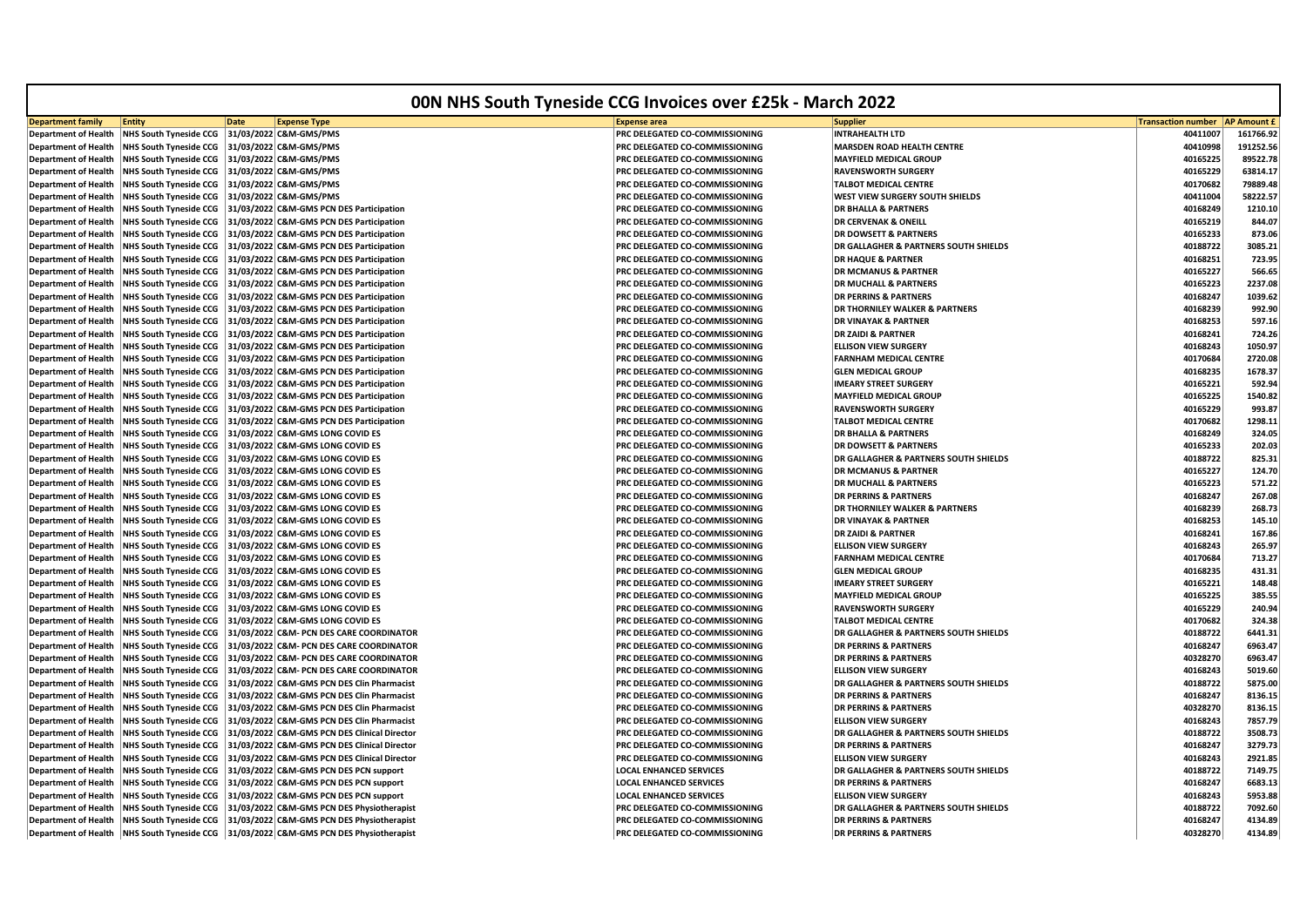| <b>Transaction number</b><br><b>AP Amount £</b><br><b>Entity</b><br><b>Date</b><br><b>Expense Type</b><br><b>Expense area</b><br><b>Supplier</b><br><b>NHS South Tyneside CCG</b><br>31/03/2022 C&M-GMS/PMS<br>PRC DELEGATED CO-COMMISSIONING<br>INTRAHEALTH LTD<br>40411007<br>161766.92<br><b>NHS South Tyneside CCG</b><br>31/03/2022 C&M-GMS/PMS<br>PRC DELEGATED CO-COMMISSIONING<br><b>MARSDEN ROAD HEALTH CENTRE</b><br>40410998<br>31/03/2022 C&M-GMS/PMS<br>40165225<br><b>NHS South Tyneside CCG</b><br>PRC DELEGATED CO-COMMISSIONING<br><b>MAYFIELD MEDICAL GROUP</b><br>31/03/2022 C&M-GMS/PMS<br>PRC DELEGATED CO-COMMISSIONING<br><b>RAVENSWORTH SURGERY</b><br>40165229<br>63814.17<br><b>NHS South Tyneside CCG</b><br><b>Department of Health</b><br><b>NHS South Tyneside CCG</b><br>31/03/2022 C&M-GMS/PMS<br>PRC DELEGATED CO-COMMISSIONING<br>TALBOT MEDICAL CENTRE<br>40170682<br>79889.48<br>58222.57<br><b>Department of Health</b><br><b>NHS South Tyneside CCG</b><br>31/03/2022 C&M-GMS/PMS<br>PRC DELEGATED CO-COMMISSIONING<br>WEST VIEW SURGERY SOUTH SHIELDS<br>40411004<br><b>NHS South Tyneside CCG</b><br>31/03/2022 C&M-GMS PCN DES Participation<br><b>DR BHALLA &amp; PARTNERS</b><br>40168249<br>1210.10<br>PRC DELEGATED CO-COMMISSIONING<br>31/03/2022 C&M-GMS PCN DES Participation<br><b>DR CERVENAK &amp; ONEILL</b><br>40165219<br>844.07<br><b>NHS South Tyneside CCG</b><br>PRC DELEGATED CO-COMMISSIONING<br>40165233<br><b>NHS South Tyneside CCG</b><br>31/03/2022 C&M-GMS PCN DES Participation<br>PRC DELEGATED CO-COMMISSIONING<br><b>DR DOWSETT &amp; PARTNERS</b><br>873.06<br><b>NHS South Tyneside CCG</b><br>31/03/2022 C&M-GMS PCN DES Participation<br>PRC DELEGATED CO-COMMISSIONING<br>DR GALLAGHER & PARTNERS SOUTH SHIELDS<br>40188722<br>3085.21<br><b>Department of Health</b><br><b>NHS South Tyneside CCG</b><br>31/03/2022 C&M-GMS PCN DES Participation<br>PRC DELEGATED CO-COMMISSIONING<br><b>DR HAQUE &amp; PARTNER</b><br>40168251<br><b>NHS South Tyneside CCG</b><br>31/03/2022 C&M-GMS PCN DES Participation<br>PRC DELEGATED CO-COMMISSIONING<br><b>DR MCMANUS &amp; PARTNER</b><br>40165227<br>40165223<br><b>NHS South Tyneside CCG</b><br>31/03/2022 C&M-GMS PCN DES Participation<br>PRC DELEGATED CO-COMMISSIONING<br><b>DR MUCHALL &amp; PARTNERS</b><br><b>Department of Health</b><br><b>NHS South Tyneside CCG</b><br>31/03/2022 C&M-GMS PCN DES Participation<br>PRC DELEGATED CO-COMMISSIONING<br><b>DR PERRINS &amp; PARTNERS</b><br>40168247<br>1039.62<br><b>NHS South Tyneside CCG</b><br>31/03/2022 C&M-GMS PCN DES Participation<br>PRC DELEGATED CO-COMMISSIONING<br>DR THORNILEY WALKER & PARTNERS<br>40168239<br>992.90<br><b>Department of Health</b><br>40168253<br><b>Department of Health</b><br><b>NHS South Tyneside CCG</b><br>31/03/2022 C&M-GMS PCN DES Participation<br>PRC DELEGATED CO-COMMISSIONING<br>DR VINAYAK & PARTNER<br>597.16<br>31/03/2022 C&M-GMS PCN DES Participation<br><b>Department of Health</b><br><b>NHS South Tyneside CCG</b><br>PRC DELEGATED CO-COMMISSIONING<br><b>DR ZAIDI &amp; PARTNER</b><br>40168241<br>724.26<br>40168243<br>1050.97<br><b>Department of Health</b><br><b>NHS South Tyneside CCG</b><br>31/03/2022 C&M-GMS PCN DES Participation<br>PRC DELEGATED CO-COMMISSIONING<br><b>ELLISON VIEW SURGERY</b><br>PRC DELEGATED CO-COMMISSIONING<br><b>FARNHAM MEDICAL CENTRE</b><br>40170684<br>2720.08<br><b>NHS South Tyneside CCG</b><br>31/03/2022 C&M-GMS PCN DES Participation<br><b>Department of Health</b><br>31/03/2022 C&M-GMS PCN DES Participation<br>40168235<br>1678.37<br><b>NHS South Tyneside CCG</b><br>PRC DELEGATED CO-COMMISSIONING<br><b>GLEN MEDICAL GROUP</b><br><b>Department of Health</b><br>40165221<br><b>Department of Health</b><br><b>NHS South Tyneside CCG</b><br>31/03/2022 C&M-GMS PCN DES Participation<br>PRC DELEGATED CO-COMMISSIONING<br><b>IMEARY STREET SURGERY</b><br>592.94<br>40165225<br>1540.82<br><b>Department of Health</b><br><b>NHS South Tyneside CCG</b><br>31/03/2022 C&M-GMS PCN DES Participation<br>PRC DELEGATED CO-COMMISSIONING<br><b>MAYFIELD MEDICAL GROUP</b><br><b>NHS South Tyneside CCG</b><br>31/03/2022 C&M-GMS PCN DES Participation<br>PRC DELEGATED CO-COMMISSIONING<br><b>RAVENSWORTH SURGERY</b><br>40165229<br>993.87<br><b>Department of Health</b><br><b>NHS South Tyneside CCG</b><br>31/03/2022 C&M-GMS PCN DES Participation<br>PRC DELEGATED CO-COMMISSIONING<br>TALBOT MEDICAL CENTRE<br>40170682<br>1298.11<br><b>Department of Health</b><br>324.05<br><b>Department of Health</b><br><b>NHS South Tyneside CCG</b><br>31/03/2022 C&M-GMS LONG COVID ES<br>PRC DELEGATED CO-COMMISSIONING<br><b>DR BHALLA &amp; PARTNERS</b><br>40168249<br>31/03/2022 C&M-GMS LONG COVID ES<br>40165233<br>202.03<br><b>Department of Health</b><br><b>NHS South Tyneside CCG</b><br>PRC DELEGATED CO-COMMISSIONING<br><b>DR DOWSETT &amp; PARTNERS</b><br>40188722<br><b>Department of Health</b><br><b>NHS South Tyneside CCG</b><br>31/03/2022 C&M-GMS LONG COVID ES<br>PRC DELEGATED CO-COMMISSIONING<br>DR GALLAGHER & PARTNERS SOUTH SHIELDS<br>825.31<br><b>NHS South Tyneside CCG</b><br>31/03/2022 C&M-GMS LONG COVID ES<br>PRC DELEGATED CO-COMMISSIONING<br><b>DR MCMANUS &amp; PARTNER</b><br>40165227<br>124.70<br><b>Department of Health</b><br><b>NHS South Tyneside CCG</b><br>31/03/2022 C&M-GMS LONG COVID ES<br>40165223<br>571.22<br><b>Department of Health</b><br>PRC DELEGATED CO-COMMISSIONING<br><b>DR MUCHALL &amp; PARTNERS</b><br><b>NHS South Tyneside CCG</b><br>31/03/2022 C&M-GMS LONG COVID ES<br><b>DR PERRINS &amp; PARTNERS</b><br>40168247<br>267.08<br><b>Department of Health</b><br>PRC DELEGATED CO-COMMISSIONING<br><b>Department of Health</b><br><b>NHS South Tyneside CCG</b><br>31/03/2022 C&M-GMS LONG COVID ES<br>PRC DELEGATED CO-COMMISSIONING<br><b>DR THORNILEY WALKER &amp; PARTNERS</b><br>40168239<br>268.73<br>40168253<br><b>Department of Health</b><br><b>NHS South Tyneside CCG</b><br>31/03/2022 C&M-GMS LONG COVID ES<br>PRC DELEGATED CO-COMMISSIONING<br><b>DR VINAYAK &amp; PARTNER</b><br>145.10<br>31/03/2022 C&M-GMS LONG COVID ES<br><b>DR ZAIDI &amp; PARTNER</b><br>40168241<br>167.86<br><b>Department of Health</b><br><b>NHS South Tyneside CCG</b><br>PRC DELEGATED CO-COMMISSIONING<br><b>Department of Health</b><br><b>NHS South Tyneside CCG</b><br>31/03/2022 C&M-GMS LONG COVID ES<br>PRC DELEGATED CO-COMMISSIONING<br><b>ELLISON VIEW SURGERY</b><br>40168243<br>265.97<br><b>Department of Health</b><br><b>NHS South Tyneside CCG</b><br>31/03/2022 C&M-GMS LONG COVID ES<br>PRC DELEGATED CO-COMMISSIONING<br><b>FARNHAM MEDICAL CENTRE</b><br>40170684<br>713.27<br><b>NHS South Tyneside CCG</b><br>31/03/2022 C&M-GMS LONG COVID ES<br>PRC DELEGATED CO-COMMISSIONING<br>40168235<br>431.31<br><b>Department of Health</b><br><b>GLEN MEDICAL GROUP</b><br>31/03/2022 C&M-GMS LONG COVID ES<br>PRC DELEGATED CO-COMMISSIONING<br><b>IMEARY STREET SURGERY</b><br>40165221<br>148.48<br><b>Department of Health</b><br><b>NHS South Tyneside CCG</b><br>40165225<br>385.55<br><b>NHS South Tyneside CCG</b><br>31/03/2022 C&M-GMS LONG COVID ES<br>PRC DELEGATED CO-COMMISSIONING<br><b>Department of Health</b><br><b>MAYFIELD MEDICAL GROUP</b><br>31/03/2022 C&M-GMS LONG COVID ES<br>PRC DELEGATED CO-COMMISSIONING<br><b>RAVENSWORTH SURGERY</b><br>40165229<br>240.94<br><b>Department of Health</b><br><b>NHS South Tyneside CCG</b><br><b>NHS South Tyneside CCG</b><br>31/03/2022 C&M-GMS LONG COVID ES<br>PRC DELEGATED CO-COMMISSIONING<br>40170682<br>324.38<br><b>Department of Health</b><br><b>TALBOT MEDICAL CENTRE</b><br>40188722<br>6441.31<br><b>Department of Health</b><br><b>NHS South Tyneside CCG</b><br>31/03/2022 C&M- PCN DES CARE COORDINATOR<br>PRC DELEGATED CO-COMMISSIONING<br>DR GALLAGHER & PARTNERS SOUTH SHIELDS<br>40168247<br>6963.47<br><b>Department of Health</b><br><b>NHS South Tyneside CCG</b><br>31/03/2022 C&M- PCN DES CARE COORDINATOR<br>PRC DELEGATED CO-COMMISSIONING<br><b>DR PERRINS &amp; PARTNERS</b><br><b>NHS South Tyneside CCG</b><br>31/03/2022 C&M- PCN DES CARE COORDINATOR<br><b>DR PERRINS &amp; PARTNERS</b><br>40328270<br>6963.47<br><b>Department of Health</b><br>PRC DELEGATED CO-COMMISSIONING<br><b>Department of Health</b><br><b>NHS South Tyneside CCG</b><br>31/03/2022 C&M- PCN DES CARE COORDINATOR<br>PRC DELEGATED CO-COMMISSIONING<br><b>ELLISON VIEW SURGERY</b><br>40168243<br>5019.60<br>5875.00<br><b>Department of Health</b><br><b>NHS South Tyneside CCG</b><br>31/03/2022 C&M-GMS PCN DES Clin Pharmacist<br>PRC DELEGATED CO-COMMISSIONING<br>DR GALLAGHER & PARTNERS SOUTH SHIELDS<br>40188722<br>31/03/2022 C&M-GMS PCN DES Clin Pharmacist<br>8136.15<br><b>Department of Health</b><br><b>NHS South Tyneside CCG</b><br>PRC DELEGATED CO-COMMISSIONING<br><b>DR PERRINS &amp; PARTNERS</b><br>40168247<br>40328270<br><b>NHS South Tyneside CCG</b><br>31/03/2022 C&M-GMS PCN DES Clin Pharmacist<br>PRC DELEGATED CO-COMMISSIONING<br><b>DR PERRINS &amp; PARTNERS</b><br>8136.15<br><b>Department of Health</b><br>40168243<br>7857.79<br><b>Department of Health</b><br><b>NHS South Tyneside CCG</b><br>31/03/2022 C&M-GMS PCN DES Clin Pharmacist<br>PRC DELEGATED CO-COMMISSIONING<br><b>ELLISON VIEW SURGERY</b><br>31/03/2022 C&M-GMS PCN DES Clinical Director<br>PRC DELEGATED CO-COMMISSIONING<br>DR GALLAGHER & PARTNERS SOUTH SHIELDS<br>40188722<br>3508.73<br><b>Department of Health</b><br><b>NHS South Tyneside CCG</b><br>3279.73<br><b>Department of Health</b><br><b>NHS South Tyneside CCG</b><br>31/03/2022 C&M-GMS PCN DES Clinical Director<br>PRC DELEGATED CO-COMMISSIONING<br><b>DR PERRINS &amp; PARTNERS</b><br>40168247<br><b>Department of Health</b><br><b>NHS South Tyneside CCG</b><br>31/03/2022 C&M-GMS PCN DES Clinical Director<br>PRC DELEGATED CO-COMMISSIONING<br><b>ELLISON VIEW SURGERY</b><br>40168243<br>31/03/2022 C&M-GMS PCN DES PCN support<br><b>LOCAL ENHANCED SERVICES</b><br>DR GALLAGHER & PARTNERS SOUTH SHIELDS<br>40188722<br>7149.75<br><b>NHS South Tyneside CCG</b><br><b>NHS South Tyneside CCG</b><br>31/03/2022 C&M-GMS PCN DES PCN support<br><b>LOCAL ENHANCED SERVICES</b><br><b>DR PERRINS &amp; PARTNERS</b><br>40168247<br>6683.13<br>5953.88<br><b>Department of Health</b><br><b>NHS South Tyneside CCG</b><br>31/03/2022 C&M-GMS PCN DES PCN support<br><b>LOCAL ENHANCED SERVICES</b><br><b>ELLISON VIEW SURGERY</b><br>40168243<br>31/03/2022 C&M-GMS PCN DES Physiotherapist<br><b>Department of Health</b><br>NHS South Tyneside CCG<br>PRC DELEGATED CO-COMMISSIONING<br>DR GALLAGHER & PARTNERS SOUTH SHIELDS<br>40188722<br>31/03/2022 C&M-GMS PCN DES Physiotherapist<br><b>NHS South Tyneside CCG</b><br>PRC DELEGATED CO-COMMISSIONING<br><b>DR PERRINS &amp; PARTNERS</b><br>40168247<br>4134.89<br>Department of Health   NHS South Tyneside CCG   31/03/2022   C&M-GMS PCN DES Physiotherapist<br><b>DR PERRINS &amp; PARTNERS</b><br>40328270<br><b>PRC DELEGATED CO-COMMISSIONING</b><br>4134.89 |                             | <b>00N NHS South Tyneside CCG Invoices over £25k - March 2022</b> |  |  |  |  |           |  |  |
|----------------------------------------------------------------------------------------------------------------------------------------------------------------------------------------------------------------------------------------------------------------------------------------------------------------------------------------------------------------------------------------------------------------------------------------------------------------------------------------------------------------------------------------------------------------------------------------------------------------------------------------------------------------------------------------------------------------------------------------------------------------------------------------------------------------------------------------------------------------------------------------------------------------------------------------------------------------------------------------------------------------------------------------------------------------------------------------------------------------------------------------------------------------------------------------------------------------------------------------------------------------------------------------------------------------------------------------------------------------------------------------------------------------------------------------------------------------------------------------------------------------------------------------------------------------------------------------------------------------------------------------------------------------------------------------------------------------------------------------------------------------------------------------------------------------------------------------------------------------------------------------------------------------------------------------------------------------------------------------------------------------------------------------------------------------------------------------------------------------------------------------------------------------------------------------------------------------------------------------------------------------------------------------------------------------------------------------------------------------------------------------------------------------------------------------------------------------------------------------------------------------------------------------------------------------------------------------------------------------------------------------------------------------------------------------------------------------------------------------------------------------------------------------------------------------------------------------------------------------------------------------------------------------------------------------------------------------------------------------------------------------------------------------------------------------------------------------------------------------------------------------------------------------------------------------------------------------------------------------------------------------------------------------------------------------------------------------------------------------------------------------------------------------------------------------------------------------------------------------------------------------------------------------------------------------------------------------------------------------------------------------------------------------------------------------------------------------------------------------------------------------------------------------------------------------------------------------------------------------------------------------------------------------------------------------------------------------------------------------------------------------------------------------------------------------------------------------------------------------------------------------------------------------------------------------------------------------------------------------------------------------------------------------------------------------------------------------------------------------------------------------------------------------------------------------------------------------------------------------------------------------------------------------------------------------------------------------------------------------------------------------------------------------------------------------------------------------------------------------------------------------------------------------------------------------------------------------------------------------------------------------------------------------------------------------------------------------------------------------------------------------------------------------------------------------------------------------------------------------------------------------------------------------------------------------------------------------------------------------------------------------------------------------------------------------------------------------------------------------------------------------------------------------------------------------------------------------------------------------------------------------------------------------------------------------------------------------------------------------------------------------------------------------------------------------------------------------------------------------------------------------------------------------------------------------------------------------------------------------------------------------------------------------------------------------------------------------------------------------------------------------------------------------------------------------------------------------------------------------------------------------------------------------------------------------------------------------------------------------------------------------------------------------------------------------------------------------------------------------------------------------------------------------------------------------------------------------------------------------------------------------------------------------------------------------------------------------------------------------------------------------------------------------------------------------------------------------------------------------------------------------------------------------------------------------------------------------------------------------------------------------------------------------------------------------------------------------------------------------------------------------------------------------------------------------------------------------------------------------------------------------------------------------------------------------------------------------------------------------------------------------------------------------------------------------------------------------------------------------------------------------------------------------------------------------------------------------------------------------------------------------------------------------------------------------------------------------------------------------------------------------------------------------------------------------------------------------------------------------------------------------------------------------------------------------------------------------------------------------------------------------------------------------------------------------------------------------------------------------------------------------------------------------------------------------------------------------------------------------------------------------------------------------------------------------------------------------------------------------------------------------------------------------------------------------------------------------------------------------------------------------------------------------------------------------------------------------------------------------------------------------------------------------------------------------------------------------------------------------------------------------------------------------------------------------------------------------------------------------------------------------------------------------------------------------------------------------------------------------------------------------------------------------------------------------------------------------------------------------------------------------------------------------------------------------------------------------------------------------------------------------------------------------------------------------------------------------------------------------------------------------------------------------------------------------------------------------------------------------------------------------------------------------------------------------------------------------------------------------------------------------------------------------------------------------------------------------------------------------------------------------------------------------------------------------------------------------------------------------------------------------------------------------------------------------------------------------------------------------------------------------------------------------------------------------------------------------------------------------------------------------------------------------------------------------------------------------------------------------------------------------------------------------------------------------------------------------------------------------------------------------------------------------------------------------------------------------------------------------------------------------------------------------------------------------------------------------------------------------------------------------------------------------------------------------------------------------------------------------------------------------------------------------------------------------------------------------------------------------------------------------------------------------------------------------------------------------------------------------------------------------------------------------------------------------------------------------------------------------------------------------------------------------------------------------------------------------------------------------------------------------------------------------------------------------------------------|-----------------------------|-------------------------------------------------------------------|--|--|--|--|-----------|--|--|
|                                                                                                                                                                                                                                                                                                                                                                                                                                                                                                                                                                                                                                                                                                                                                                                                                                                                                                                                                                                                                                                                                                                                                                                                                                                                                                                                                                                                                                                                                                                                                                                                                                                                                                                                                                                                                                                                                                                                                                                                                                                                                                                                                                                                                                                                                                                                                                                                                                                                                                                                                                                                                                                                                                                                                                                                                                                                                                                                                                                                                                                                                                                                                                                                                                                                                                                                                                                                                                                                                                                                                                                                                                                                                                                                                                                                                                                                                                                                                                                                                                                                                                                                                                                                                                                                                                                                                                                                                                                                                                                                                                                                                                                                                                                                                                                                                                                                                                                                                                                                                                                                                                                                                                                                                                                                                                                                                                                                                                                                                                                                                                                                                                                                                                                                                                                                                                                                                                                                                                                                                                                                                                                                                                                                                                                                                                                                                                                                                                                                                                                                                                                                                                                                                                                                                                                                                                                                                                                                                                                                                                                                                                                                                                                                                                                                                                                                                                                                                                                                                                                                                                                                                                                                                                                                                                                                                                                                                                                                                                                                                                                                                                                                                                                                                                                                                                                                                                                                                                                                                                                                                                                                                                                                                                                                                                                                                                                                                                                                                                                                                                                                                                                                                                                                                                                                                                                                                                                                                                                                                                                                                                                                                                                                                                                                                                                                                                                                                                                                                                                                                                                                                                                                                                                                                                                                                                                                                                                                                                                                                                                                                                                                                                                                                                                                                                                                                                                                                                                                                                                                                                                                                                                                                                                                          | <b>Department family</b>    |                                                                   |  |  |  |  |           |  |  |
|                                                                                                                                                                                                                                                                                                                                                                                                                                                                                                                                                                                                                                                                                                                                                                                                                                                                                                                                                                                                                                                                                                                                                                                                                                                                                                                                                                                                                                                                                                                                                                                                                                                                                                                                                                                                                                                                                                                                                                                                                                                                                                                                                                                                                                                                                                                                                                                                                                                                                                                                                                                                                                                                                                                                                                                                                                                                                                                                                                                                                                                                                                                                                                                                                                                                                                                                                                                                                                                                                                                                                                                                                                                                                                                                                                                                                                                                                                                                                                                                                                                                                                                                                                                                                                                                                                                                                                                                                                                                                                                                                                                                                                                                                                                                                                                                                                                                                                                                                                                                                                                                                                                                                                                                                                                                                                                                                                                                                                                                                                                                                                                                                                                                                                                                                                                                                                                                                                                                                                                                                                                                                                                                                                                                                                                                                                                                                                                                                                                                                                                                                                                                                                                                                                                                                                                                                                                                                                                                                                                                                                                                                                                                                                                                                                                                                                                                                                                                                                                                                                                                                                                                                                                                                                                                                                                                                                                                                                                                                                                                                                                                                                                                                                                                                                                                                                                                                                                                                                                                                                                                                                                                                                                                                                                                                                                                                                                                                                                                                                                                                                                                                                                                                                                                                                                                                                                                                                                                                                                                                                                                                                                                                                                                                                                                                                                                                                                                                                                                                                                                                                                                                                                                                                                                                                                                                                                                                                                                                                                                                                                                                                                                                                                                                                                                                                                                                                                                                                                                                                                                                                                                                                                                                                                                          | <b>Department of Health</b> |                                                                   |  |  |  |  |           |  |  |
|                                                                                                                                                                                                                                                                                                                                                                                                                                                                                                                                                                                                                                                                                                                                                                                                                                                                                                                                                                                                                                                                                                                                                                                                                                                                                                                                                                                                                                                                                                                                                                                                                                                                                                                                                                                                                                                                                                                                                                                                                                                                                                                                                                                                                                                                                                                                                                                                                                                                                                                                                                                                                                                                                                                                                                                                                                                                                                                                                                                                                                                                                                                                                                                                                                                                                                                                                                                                                                                                                                                                                                                                                                                                                                                                                                                                                                                                                                                                                                                                                                                                                                                                                                                                                                                                                                                                                                                                                                                                                                                                                                                                                                                                                                                                                                                                                                                                                                                                                                                                                                                                                                                                                                                                                                                                                                                                                                                                                                                                                                                                                                                                                                                                                                                                                                                                                                                                                                                                                                                                                                                                                                                                                                                                                                                                                                                                                                                                                                                                                                                                                                                                                                                                                                                                                                                                                                                                                                                                                                                                                                                                                                                                                                                                                                                                                                                                                                                                                                                                                                                                                                                                                                                                                                                                                                                                                                                                                                                                                                                                                                                                                                                                                                                                                                                                                                                                                                                                                                                                                                                                                                                                                                                                                                                                                                                                                                                                                                                                                                                                                                                                                                                                                                                                                                                                                                                                                                                                                                                                                                                                                                                                                                                                                                                                                                                                                                                                                                                                                                                                                                                                                                                                                                                                                                                                                                                                                                                                                                                                                                                                                                                                                                                                                                                                                                                                                                                                                                                                                                                                                                                                                                                                                                                                          | <b>Department of Health</b> |                                                                   |  |  |  |  | 191252.56 |  |  |
|                                                                                                                                                                                                                                                                                                                                                                                                                                                                                                                                                                                                                                                                                                                                                                                                                                                                                                                                                                                                                                                                                                                                                                                                                                                                                                                                                                                                                                                                                                                                                                                                                                                                                                                                                                                                                                                                                                                                                                                                                                                                                                                                                                                                                                                                                                                                                                                                                                                                                                                                                                                                                                                                                                                                                                                                                                                                                                                                                                                                                                                                                                                                                                                                                                                                                                                                                                                                                                                                                                                                                                                                                                                                                                                                                                                                                                                                                                                                                                                                                                                                                                                                                                                                                                                                                                                                                                                                                                                                                                                                                                                                                                                                                                                                                                                                                                                                                                                                                                                                                                                                                                                                                                                                                                                                                                                                                                                                                                                                                                                                                                                                                                                                                                                                                                                                                                                                                                                                                                                                                                                                                                                                                                                                                                                                                                                                                                                                                                                                                                                                                                                                                                                                                                                                                                                                                                                                                                                                                                                                                                                                                                                                                                                                                                                                                                                                                                                                                                                                                                                                                                                                                                                                                                                                                                                                                                                                                                                                                                                                                                                                                                                                                                                                                                                                                                                                                                                                                                                                                                                                                                                                                                                                                                                                                                                                                                                                                                                                                                                                                                                                                                                                                                                                                                                                                                                                                                                                                                                                                                                                                                                                                                                                                                                                                                                                                                                                                                                                                                                                                                                                                                                                                                                                                                                                                                                                                                                                                                                                                                                                                                                                                                                                                                                                                                                                                                                                                                                                                                                                                                                                                                                                                                                                          | <b>Department of Health</b> |                                                                   |  |  |  |  | 89522.78  |  |  |
|                                                                                                                                                                                                                                                                                                                                                                                                                                                                                                                                                                                                                                                                                                                                                                                                                                                                                                                                                                                                                                                                                                                                                                                                                                                                                                                                                                                                                                                                                                                                                                                                                                                                                                                                                                                                                                                                                                                                                                                                                                                                                                                                                                                                                                                                                                                                                                                                                                                                                                                                                                                                                                                                                                                                                                                                                                                                                                                                                                                                                                                                                                                                                                                                                                                                                                                                                                                                                                                                                                                                                                                                                                                                                                                                                                                                                                                                                                                                                                                                                                                                                                                                                                                                                                                                                                                                                                                                                                                                                                                                                                                                                                                                                                                                                                                                                                                                                                                                                                                                                                                                                                                                                                                                                                                                                                                                                                                                                                                                                                                                                                                                                                                                                                                                                                                                                                                                                                                                                                                                                                                                                                                                                                                                                                                                                                                                                                                                                                                                                                                                                                                                                                                                                                                                                                                                                                                                                                                                                                                                                                                                                                                                                                                                                                                                                                                                                                                                                                                                                                                                                                                                                                                                                                                                                                                                                                                                                                                                                                                                                                                                                                                                                                                                                                                                                                                                                                                                                                                                                                                                                                                                                                                                                                                                                                                                                                                                                                                                                                                                                                                                                                                                                                                                                                                                                                                                                                                                                                                                                                                                                                                                                                                                                                                                                                                                                                                                                                                                                                                                                                                                                                                                                                                                                                                                                                                                                                                                                                                                                                                                                                                                                                                                                                                                                                                                                                                                                                                                                                                                                                                                                                                                                                                                          | <b>Department of Health</b> |                                                                   |  |  |  |  |           |  |  |
|                                                                                                                                                                                                                                                                                                                                                                                                                                                                                                                                                                                                                                                                                                                                                                                                                                                                                                                                                                                                                                                                                                                                                                                                                                                                                                                                                                                                                                                                                                                                                                                                                                                                                                                                                                                                                                                                                                                                                                                                                                                                                                                                                                                                                                                                                                                                                                                                                                                                                                                                                                                                                                                                                                                                                                                                                                                                                                                                                                                                                                                                                                                                                                                                                                                                                                                                                                                                                                                                                                                                                                                                                                                                                                                                                                                                                                                                                                                                                                                                                                                                                                                                                                                                                                                                                                                                                                                                                                                                                                                                                                                                                                                                                                                                                                                                                                                                                                                                                                                                                                                                                                                                                                                                                                                                                                                                                                                                                                                                                                                                                                                                                                                                                                                                                                                                                                                                                                                                                                                                                                                                                                                                                                                                                                                                                                                                                                                                                                                                                                                                                                                                                                                                                                                                                                                                                                                                                                                                                                                                                                                                                                                                                                                                                                                                                                                                                                                                                                                                                                                                                                                                                                                                                                                                                                                                                                                                                                                                                                                                                                                                                                                                                                                                                                                                                                                                                                                                                                                                                                                                                                                                                                                                                                                                                                                                                                                                                                                                                                                                                                                                                                                                                                                                                                                                                                                                                                                                                                                                                                                                                                                                                                                                                                                                                                                                                                                                                                                                                                                                                                                                                                                                                                                                                                                                                                                                                                                                                                                                                                                                                                                                                                                                                                                                                                                                                                                                                                                                                                                                                                                                                                                                                                                                          |                             |                                                                   |  |  |  |  |           |  |  |
|                                                                                                                                                                                                                                                                                                                                                                                                                                                                                                                                                                                                                                                                                                                                                                                                                                                                                                                                                                                                                                                                                                                                                                                                                                                                                                                                                                                                                                                                                                                                                                                                                                                                                                                                                                                                                                                                                                                                                                                                                                                                                                                                                                                                                                                                                                                                                                                                                                                                                                                                                                                                                                                                                                                                                                                                                                                                                                                                                                                                                                                                                                                                                                                                                                                                                                                                                                                                                                                                                                                                                                                                                                                                                                                                                                                                                                                                                                                                                                                                                                                                                                                                                                                                                                                                                                                                                                                                                                                                                                                                                                                                                                                                                                                                                                                                                                                                                                                                                                                                                                                                                                                                                                                                                                                                                                                                                                                                                                                                                                                                                                                                                                                                                                                                                                                                                                                                                                                                                                                                                                                                                                                                                                                                                                                                                                                                                                                                                                                                                                                                                                                                                                                                                                                                                                                                                                                                                                                                                                                                                                                                                                                                                                                                                                                                                                                                                                                                                                                                                                                                                                                                                                                                                                                                                                                                                                                                                                                                                                                                                                                                                                                                                                                                                                                                                                                                                                                                                                                                                                                                                                                                                                                                                                                                                                                                                                                                                                                                                                                                                                                                                                                                                                                                                                                                                                                                                                                                                                                                                                                                                                                                                                                                                                                                                                                                                                                                                                                                                                                                                                                                                                                                                                                                                                                                                                                                                                                                                                                                                                                                                                                                                                                                                                                                                                                                                                                                                                                                                                                                                                                                                                                                                                                                          |                             |                                                                   |  |  |  |  |           |  |  |
|                                                                                                                                                                                                                                                                                                                                                                                                                                                                                                                                                                                                                                                                                                                                                                                                                                                                                                                                                                                                                                                                                                                                                                                                                                                                                                                                                                                                                                                                                                                                                                                                                                                                                                                                                                                                                                                                                                                                                                                                                                                                                                                                                                                                                                                                                                                                                                                                                                                                                                                                                                                                                                                                                                                                                                                                                                                                                                                                                                                                                                                                                                                                                                                                                                                                                                                                                                                                                                                                                                                                                                                                                                                                                                                                                                                                                                                                                                                                                                                                                                                                                                                                                                                                                                                                                                                                                                                                                                                                                                                                                                                                                                                                                                                                                                                                                                                                                                                                                                                                                                                                                                                                                                                                                                                                                                                                                                                                                                                                                                                                                                                                                                                                                                                                                                                                                                                                                                                                                                                                                                                                                                                                                                                                                                                                                                                                                                                                                                                                                                                                                                                                                                                                                                                                                                                                                                                                                                                                                                                                                                                                                                                                                                                                                                                                                                                                                                                                                                                                                                                                                                                                                                                                                                                                                                                                                                                                                                                                                                                                                                                                                                                                                                                                                                                                                                                                                                                                                                                                                                                                                                                                                                                                                                                                                                                                                                                                                                                                                                                                                                                                                                                                                                                                                                                                                                                                                                                                                                                                                                                                                                                                                                                                                                                                                                                                                                                                                                                                                                                                                                                                                                                                                                                                                                                                                                                                                                                                                                                                                                                                                                                                                                                                                                                                                                                                                                                                                                                                                                                                                                                                                                                                                                                                          | <b>Department of Health</b> |                                                                   |  |  |  |  |           |  |  |
|                                                                                                                                                                                                                                                                                                                                                                                                                                                                                                                                                                                                                                                                                                                                                                                                                                                                                                                                                                                                                                                                                                                                                                                                                                                                                                                                                                                                                                                                                                                                                                                                                                                                                                                                                                                                                                                                                                                                                                                                                                                                                                                                                                                                                                                                                                                                                                                                                                                                                                                                                                                                                                                                                                                                                                                                                                                                                                                                                                                                                                                                                                                                                                                                                                                                                                                                                                                                                                                                                                                                                                                                                                                                                                                                                                                                                                                                                                                                                                                                                                                                                                                                                                                                                                                                                                                                                                                                                                                                                                                                                                                                                                                                                                                                                                                                                                                                                                                                                                                                                                                                                                                                                                                                                                                                                                                                                                                                                                                                                                                                                                                                                                                                                                                                                                                                                                                                                                                                                                                                                                                                                                                                                                                                                                                                                                                                                                                                                                                                                                                                                                                                                                                                                                                                                                                                                                                                                                                                                                                                                                                                                                                                                                                                                                                                                                                                                                                                                                                                                                                                                                                                                                                                                                                                                                                                                                                                                                                                                                                                                                                                                                                                                                                                                                                                                                                                                                                                                                                                                                                                                                                                                                                                                                                                                                                                                                                                                                                                                                                                                                                                                                                                                                                                                                                                                                                                                                                                                                                                                                                                                                                                                                                                                                                                                                                                                                                                                                                                                                                                                                                                                                                                                                                                                                                                                                                                                                                                                                                                                                                                                                                                                                                                                                                                                                                                                                                                                                                                                                                                                                                                                                                                                                                                          | <b>Department of Health</b> |                                                                   |  |  |  |  |           |  |  |
|                                                                                                                                                                                                                                                                                                                                                                                                                                                                                                                                                                                                                                                                                                                                                                                                                                                                                                                                                                                                                                                                                                                                                                                                                                                                                                                                                                                                                                                                                                                                                                                                                                                                                                                                                                                                                                                                                                                                                                                                                                                                                                                                                                                                                                                                                                                                                                                                                                                                                                                                                                                                                                                                                                                                                                                                                                                                                                                                                                                                                                                                                                                                                                                                                                                                                                                                                                                                                                                                                                                                                                                                                                                                                                                                                                                                                                                                                                                                                                                                                                                                                                                                                                                                                                                                                                                                                                                                                                                                                                                                                                                                                                                                                                                                                                                                                                                                                                                                                                                                                                                                                                                                                                                                                                                                                                                                                                                                                                                                                                                                                                                                                                                                                                                                                                                                                                                                                                                                                                                                                                                                                                                                                                                                                                                                                                                                                                                                                                                                                                                                                                                                                                                                                                                                                                                                                                                                                                                                                                                                                                                                                                                                                                                                                                                                                                                                                                                                                                                                                                                                                                                                                                                                                                                                                                                                                                                                                                                                                                                                                                                                                                                                                                                                                                                                                                                                                                                                                                                                                                                                                                                                                                                                                                                                                                                                                                                                                                                                                                                                                                                                                                                                                                                                                                                                                                                                                                                                                                                                                                                                                                                                                                                                                                                                                                                                                                                                                                                                                                                                                                                                                                                                                                                                                                                                                                                                                                                                                                                                                                                                                                                                                                                                                                                                                                                                                                                                                                                                                                                                                                                                                                                                                                                                          | <b>Department of Health</b> |                                                                   |  |  |  |  |           |  |  |
|                                                                                                                                                                                                                                                                                                                                                                                                                                                                                                                                                                                                                                                                                                                                                                                                                                                                                                                                                                                                                                                                                                                                                                                                                                                                                                                                                                                                                                                                                                                                                                                                                                                                                                                                                                                                                                                                                                                                                                                                                                                                                                                                                                                                                                                                                                                                                                                                                                                                                                                                                                                                                                                                                                                                                                                                                                                                                                                                                                                                                                                                                                                                                                                                                                                                                                                                                                                                                                                                                                                                                                                                                                                                                                                                                                                                                                                                                                                                                                                                                                                                                                                                                                                                                                                                                                                                                                                                                                                                                                                                                                                                                                                                                                                                                                                                                                                                                                                                                                                                                                                                                                                                                                                                                                                                                                                                                                                                                                                                                                                                                                                                                                                                                                                                                                                                                                                                                                                                                                                                                                                                                                                                                                                                                                                                                                                                                                                                                                                                                                                                                                                                                                                                                                                                                                                                                                                                                                                                                                                                                                                                                                                                                                                                                                                                                                                                                                                                                                                                                                                                                                                                                                                                                                                                                                                                                                                                                                                                                                                                                                                                                                                                                                                                                                                                                                                                                                                                                                                                                                                                                                                                                                                                                                                                                                                                                                                                                                                                                                                                                                                                                                                                                                                                                                                                                                                                                                                                                                                                                                                                                                                                                                                                                                                                                                                                                                                                                                                                                                                                                                                                                                                                                                                                                                                                                                                                                                                                                                                                                                                                                                                                                                                                                                                                                                                                                                                                                                                                                                                                                                                                                                                                                                                                          |                             |                                                                   |  |  |  |  |           |  |  |
|                                                                                                                                                                                                                                                                                                                                                                                                                                                                                                                                                                                                                                                                                                                                                                                                                                                                                                                                                                                                                                                                                                                                                                                                                                                                                                                                                                                                                                                                                                                                                                                                                                                                                                                                                                                                                                                                                                                                                                                                                                                                                                                                                                                                                                                                                                                                                                                                                                                                                                                                                                                                                                                                                                                                                                                                                                                                                                                                                                                                                                                                                                                                                                                                                                                                                                                                                                                                                                                                                                                                                                                                                                                                                                                                                                                                                                                                                                                                                                                                                                                                                                                                                                                                                                                                                                                                                                                                                                                                                                                                                                                                                                                                                                                                                                                                                                                                                                                                                                                                                                                                                                                                                                                                                                                                                                                                                                                                                                                                                                                                                                                                                                                                                                                                                                                                                                                                                                                                                                                                                                                                                                                                                                                                                                                                                                                                                                                                                                                                                                                                                                                                                                                                                                                                                                                                                                                                                                                                                                                                                                                                                                                                                                                                                                                                                                                                                                                                                                                                                                                                                                                                                                                                                                                                                                                                                                                                                                                                                                                                                                                                                                                                                                                                                                                                                                                                                                                                                                                                                                                                                                                                                                                                                                                                                                                                                                                                                                                                                                                                                                                                                                                                                                                                                                                                                                                                                                                                                                                                                                                                                                                                                                                                                                                                                                                                                                                                                                                                                                                                                                                                                                                                                                                                                                                                                                                                                                                                                                                                                                                                                                                                                                                                                                                                                                                                                                                                                                                                                                                                                                                                                                                                                                                                          | <b>Department of Health</b> |                                                                   |  |  |  |  | 723.95    |  |  |
|                                                                                                                                                                                                                                                                                                                                                                                                                                                                                                                                                                                                                                                                                                                                                                                                                                                                                                                                                                                                                                                                                                                                                                                                                                                                                                                                                                                                                                                                                                                                                                                                                                                                                                                                                                                                                                                                                                                                                                                                                                                                                                                                                                                                                                                                                                                                                                                                                                                                                                                                                                                                                                                                                                                                                                                                                                                                                                                                                                                                                                                                                                                                                                                                                                                                                                                                                                                                                                                                                                                                                                                                                                                                                                                                                                                                                                                                                                                                                                                                                                                                                                                                                                                                                                                                                                                                                                                                                                                                                                                                                                                                                                                                                                                                                                                                                                                                                                                                                                                                                                                                                                                                                                                                                                                                                                                                                                                                                                                                                                                                                                                                                                                                                                                                                                                                                                                                                                                                                                                                                                                                                                                                                                                                                                                                                                                                                                                                                                                                                                                                                                                                                                                                                                                                                                                                                                                                                                                                                                                                                                                                                                                                                                                                                                                                                                                                                                                                                                                                                                                                                                                                                                                                                                                                                                                                                                                                                                                                                                                                                                                                                                                                                                                                                                                                                                                                                                                                                                                                                                                                                                                                                                                                                                                                                                                                                                                                                                                                                                                                                                                                                                                                                                                                                                                                                                                                                                                                                                                                                                                                                                                                                                                                                                                                                                                                                                                                                                                                                                                                                                                                                                                                                                                                                                                                                                                                                                                                                                                                                                                                                                                                                                                                                                                                                                                                                                                                                                                                                                                                                                                                                                                                                                                                          | <b>Department of Health</b> |                                                                   |  |  |  |  | 566.65    |  |  |
|                                                                                                                                                                                                                                                                                                                                                                                                                                                                                                                                                                                                                                                                                                                                                                                                                                                                                                                                                                                                                                                                                                                                                                                                                                                                                                                                                                                                                                                                                                                                                                                                                                                                                                                                                                                                                                                                                                                                                                                                                                                                                                                                                                                                                                                                                                                                                                                                                                                                                                                                                                                                                                                                                                                                                                                                                                                                                                                                                                                                                                                                                                                                                                                                                                                                                                                                                                                                                                                                                                                                                                                                                                                                                                                                                                                                                                                                                                                                                                                                                                                                                                                                                                                                                                                                                                                                                                                                                                                                                                                                                                                                                                                                                                                                                                                                                                                                                                                                                                                                                                                                                                                                                                                                                                                                                                                                                                                                                                                                                                                                                                                                                                                                                                                                                                                                                                                                                                                                                                                                                                                                                                                                                                                                                                                                                                                                                                                                                                                                                                                                                                                                                                                                                                                                                                                                                                                                                                                                                                                                                                                                                                                                                                                                                                                                                                                                                                                                                                                                                                                                                                                                                                                                                                                                                                                                                                                                                                                                                                                                                                                                                                                                                                                                                                                                                                                                                                                                                                                                                                                                                                                                                                                                                                                                                                                                                                                                                                                                                                                                                                                                                                                                                                                                                                                                                                                                                                                                                                                                                                                                                                                                                                                                                                                                                                                                                                                                                                                                                                                                                                                                                                                                                                                                                                                                                                                                                                                                                                                                                                                                                                                                                                                                                                                                                                                                                                                                                                                                                                                                                                                                                                                                                                                                          | <b>Department of Health</b> |                                                                   |  |  |  |  | 2237.08   |  |  |
|                                                                                                                                                                                                                                                                                                                                                                                                                                                                                                                                                                                                                                                                                                                                                                                                                                                                                                                                                                                                                                                                                                                                                                                                                                                                                                                                                                                                                                                                                                                                                                                                                                                                                                                                                                                                                                                                                                                                                                                                                                                                                                                                                                                                                                                                                                                                                                                                                                                                                                                                                                                                                                                                                                                                                                                                                                                                                                                                                                                                                                                                                                                                                                                                                                                                                                                                                                                                                                                                                                                                                                                                                                                                                                                                                                                                                                                                                                                                                                                                                                                                                                                                                                                                                                                                                                                                                                                                                                                                                                                                                                                                                                                                                                                                                                                                                                                                                                                                                                                                                                                                                                                                                                                                                                                                                                                                                                                                                                                                                                                                                                                                                                                                                                                                                                                                                                                                                                                                                                                                                                                                                                                                                                                                                                                                                                                                                                                                                                                                                                                                                                                                                                                                                                                                                                                                                                                                                                                                                                                                                                                                                                                                                                                                                                                                                                                                                                                                                                                                                                                                                                                                                                                                                                                                                                                                                                                                                                                                                                                                                                                                                                                                                                                                                                                                                                                                                                                                                                                                                                                                                                                                                                                                                                                                                                                                                                                                                                                                                                                                                                                                                                                                                                                                                                                                                                                                                                                                                                                                                                                                                                                                                                                                                                                                                                                                                                                                                                                                                                                                                                                                                                                                                                                                                                                                                                                                                                                                                                                                                                                                                                                                                                                                                                                                                                                                                                                                                                                                                                                                                                                                                                                                                                                                          |                             |                                                                   |  |  |  |  |           |  |  |
|                                                                                                                                                                                                                                                                                                                                                                                                                                                                                                                                                                                                                                                                                                                                                                                                                                                                                                                                                                                                                                                                                                                                                                                                                                                                                                                                                                                                                                                                                                                                                                                                                                                                                                                                                                                                                                                                                                                                                                                                                                                                                                                                                                                                                                                                                                                                                                                                                                                                                                                                                                                                                                                                                                                                                                                                                                                                                                                                                                                                                                                                                                                                                                                                                                                                                                                                                                                                                                                                                                                                                                                                                                                                                                                                                                                                                                                                                                                                                                                                                                                                                                                                                                                                                                                                                                                                                                                                                                                                                                                                                                                                                                                                                                                                                                                                                                                                                                                                                                                                                                                                                                                                                                                                                                                                                                                                                                                                                                                                                                                                                                                                                                                                                                                                                                                                                                                                                                                                                                                                                                                                                                                                                                                                                                                                                                                                                                                                                                                                                                                                                                                                                                                                                                                                                                                                                                                                                                                                                                                                                                                                                                                                                                                                                                                                                                                                                                                                                                                                                                                                                                                                                                                                                                                                                                                                                                                                                                                                                                                                                                                                                                                                                                                                                                                                                                                                                                                                                                                                                                                                                                                                                                                                                                                                                                                                                                                                                                                                                                                                                                                                                                                                                                                                                                                                                                                                                                                                                                                                                                                                                                                                                                                                                                                                                                                                                                                                                                                                                                                                                                                                                                                                                                                                                                                                                                                                                                                                                                                                                                                                                                                                                                                                                                                                                                                                                                                                                                                                                                                                                                                                                                                                                                                                          |                             |                                                                   |  |  |  |  |           |  |  |
|                                                                                                                                                                                                                                                                                                                                                                                                                                                                                                                                                                                                                                                                                                                                                                                                                                                                                                                                                                                                                                                                                                                                                                                                                                                                                                                                                                                                                                                                                                                                                                                                                                                                                                                                                                                                                                                                                                                                                                                                                                                                                                                                                                                                                                                                                                                                                                                                                                                                                                                                                                                                                                                                                                                                                                                                                                                                                                                                                                                                                                                                                                                                                                                                                                                                                                                                                                                                                                                                                                                                                                                                                                                                                                                                                                                                                                                                                                                                                                                                                                                                                                                                                                                                                                                                                                                                                                                                                                                                                                                                                                                                                                                                                                                                                                                                                                                                                                                                                                                                                                                                                                                                                                                                                                                                                                                                                                                                                                                                                                                                                                                                                                                                                                                                                                                                                                                                                                                                                                                                                                                                                                                                                                                                                                                                                                                                                                                                                                                                                                                                                                                                                                                                                                                                                                                                                                                                                                                                                                                                                                                                                                                                                                                                                                                                                                                                                                                                                                                                                                                                                                                                                                                                                                                                                                                                                                                                                                                                                                                                                                                                                                                                                                                                                                                                                                                                                                                                                                                                                                                                                                                                                                                                                                                                                                                                                                                                                                                                                                                                                                                                                                                                                                                                                                                                                                                                                                                                                                                                                                                                                                                                                                                                                                                                                                                                                                                                                                                                                                                                                                                                                                                                                                                                                                                                                                                                                                                                                                                                                                                                                                                                                                                                                                                                                                                                                                                                                                                                                                                                                                                                                                                                                                                                          |                             |                                                                   |  |  |  |  |           |  |  |
|                                                                                                                                                                                                                                                                                                                                                                                                                                                                                                                                                                                                                                                                                                                                                                                                                                                                                                                                                                                                                                                                                                                                                                                                                                                                                                                                                                                                                                                                                                                                                                                                                                                                                                                                                                                                                                                                                                                                                                                                                                                                                                                                                                                                                                                                                                                                                                                                                                                                                                                                                                                                                                                                                                                                                                                                                                                                                                                                                                                                                                                                                                                                                                                                                                                                                                                                                                                                                                                                                                                                                                                                                                                                                                                                                                                                                                                                                                                                                                                                                                                                                                                                                                                                                                                                                                                                                                                                                                                                                                                                                                                                                                                                                                                                                                                                                                                                                                                                                                                                                                                                                                                                                                                                                                                                                                                                                                                                                                                                                                                                                                                                                                                                                                                                                                                                                                                                                                                                                                                                                                                                                                                                                                                                                                                                                                                                                                                                                                                                                                                                                                                                                                                                                                                                                                                                                                                                                                                                                                                                                                                                                                                                                                                                                                                                                                                                                                                                                                                                                                                                                                                                                                                                                                                                                                                                                                                                                                                                                                                                                                                                                                                                                                                                                                                                                                                                                                                                                                                                                                                                                                                                                                                                                                                                                                                                                                                                                                                                                                                                                                                                                                                                                                                                                                                                                                                                                                                                                                                                                                                                                                                                                                                                                                                                                                                                                                                                                                                                                                                                                                                                                                                                                                                                                                                                                                                                                                                                                                                                                                                                                                                                                                                                                                                                                                                                                                                                                                                                                                                                                                                                                                                                                                                                          |                             |                                                                   |  |  |  |  |           |  |  |
|                                                                                                                                                                                                                                                                                                                                                                                                                                                                                                                                                                                                                                                                                                                                                                                                                                                                                                                                                                                                                                                                                                                                                                                                                                                                                                                                                                                                                                                                                                                                                                                                                                                                                                                                                                                                                                                                                                                                                                                                                                                                                                                                                                                                                                                                                                                                                                                                                                                                                                                                                                                                                                                                                                                                                                                                                                                                                                                                                                                                                                                                                                                                                                                                                                                                                                                                                                                                                                                                                                                                                                                                                                                                                                                                                                                                                                                                                                                                                                                                                                                                                                                                                                                                                                                                                                                                                                                                                                                                                                                                                                                                                                                                                                                                                                                                                                                                                                                                                                                                                                                                                                                                                                                                                                                                                                                                                                                                                                                                                                                                                                                                                                                                                                                                                                                                                                                                                                                                                                                                                                                                                                                                                                                                                                                                                                                                                                                                                                                                                                                                                                                                                                                                                                                                                                                                                                                                                                                                                                                                                                                                                                                                                                                                                                                                                                                                                                                                                                                                                                                                                                                                                                                                                                                                                                                                                                                                                                                                                                                                                                                                                                                                                                                                                                                                                                                                                                                                                                                                                                                                                                                                                                                                                                                                                                                                                                                                                                                                                                                                                                                                                                                                                                                                                                                                                                                                                                                                                                                                                                                                                                                                                                                                                                                                                                                                                                                                                                                                                                                                                                                                                                                                                                                                                                                                                                                                                                                                                                                                                                                                                                                                                                                                                                                                                                                                                                                                                                                                                                                                                                                                                                                                                                                                          |                             |                                                                   |  |  |  |  |           |  |  |
|                                                                                                                                                                                                                                                                                                                                                                                                                                                                                                                                                                                                                                                                                                                                                                                                                                                                                                                                                                                                                                                                                                                                                                                                                                                                                                                                                                                                                                                                                                                                                                                                                                                                                                                                                                                                                                                                                                                                                                                                                                                                                                                                                                                                                                                                                                                                                                                                                                                                                                                                                                                                                                                                                                                                                                                                                                                                                                                                                                                                                                                                                                                                                                                                                                                                                                                                                                                                                                                                                                                                                                                                                                                                                                                                                                                                                                                                                                                                                                                                                                                                                                                                                                                                                                                                                                                                                                                                                                                                                                                                                                                                                                                                                                                                                                                                                                                                                                                                                                                                                                                                                                                                                                                                                                                                                                                                                                                                                                                                                                                                                                                                                                                                                                                                                                                                                                                                                                                                                                                                                                                                                                                                                                                                                                                                                                                                                                                                                                                                                                                                                                                                                                                                                                                                                                                                                                                                                                                                                                                                                                                                                                                                                                                                                                                                                                                                                                                                                                                                                                                                                                                                                                                                                                                                                                                                                                                                                                                                                                                                                                                                                                                                                                                                                                                                                                                                                                                                                                                                                                                                                                                                                                                                                                                                                                                                                                                                                                                                                                                                                                                                                                                                                                                                                                                                                                                                                                                                                                                                                                                                                                                                                                                                                                                                                                                                                                                                                                                                                                                                                                                                                                                                                                                                                                                                                                                                                                                                                                                                                                                                                                                                                                                                                                                                                                                                                                                                                                                                                                                                                                                                                                                                                                                                          |                             |                                                                   |  |  |  |  |           |  |  |
|                                                                                                                                                                                                                                                                                                                                                                                                                                                                                                                                                                                                                                                                                                                                                                                                                                                                                                                                                                                                                                                                                                                                                                                                                                                                                                                                                                                                                                                                                                                                                                                                                                                                                                                                                                                                                                                                                                                                                                                                                                                                                                                                                                                                                                                                                                                                                                                                                                                                                                                                                                                                                                                                                                                                                                                                                                                                                                                                                                                                                                                                                                                                                                                                                                                                                                                                                                                                                                                                                                                                                                                                                                                                                                                                                                                                                                                                                                                                                                                                                                                                                                                                                                                                                                                                                                                                                                                                                                                                                                                                                                                                                                                                                                                                                                                                                                                                                                                                                                                                                                                                                                                                                                                                                                                                                                                                                                                                                                                                                                                                                                                                                                                                                                                                                                                                                                                                                                                                                                                                                                                                                                                                                                                                                                                                                                                                                                                                                                                                                                                                                                                                                                                                                                                                                                                                                                                                                                                                                                                                                                                                                                                                                                                                                                                                                                                                                                                                                                                                                                                                                                                                                                                                                                                                                                                                                                                                                                                                                                                                                                                                                                                                                                                                                                                                                                                                                                                                                                                                                                                                                                                                                                                                                                                                                                                                                                                                                                                                                                                                                                                                                                                                                                                                                                                                                                                                                                                                                                                                                                                                                                                                                                                                                                                                                                                                                                                                                                                                                                                                                                                                                                                                                                                                                                                                                                                                                                                                                                                                                                                                                                                                                                                                                                                                                                                                                                                                                                                                                                                                                                                                                                                                                                                                          |                             |                                                                   |  |  |  |  |           |  |  |
|                                                                                                                                                                                                                                                                                                                                                                                                                                                                                                                                                                                                                                                                                                                                                                                                                                                                                                                                                                                                                                                                                                                                                                                                                                                                                                                                                                                                                                                                                                                                                                                                                                                                                                                                                                                                                                                                                                                                                                                                                                                                                                                                                                                                                                                                                                                                                                                                                                                                                                                                                                                                                                                                                                                                                                                                                                                                                                                                                                                                                                                                                                                                                                                                                                                                                                                                                                                                                                                                                                                                                                                                                                                                                                                                                                                                                                                                                                                                                                                                                                                                                                                                                                                                                                                                                                                                                                                                                                                                                                                                                                                                                                                                                                                                                                                                                                                                                                                                                                                                                                                                                                                                                                                                                                                                                                                                                                                                                                                                                                                                                                                                                                                                                                                                                                                                                                                                                                                                                                                                                                                                                                                                                                                                                                                                                                                                                                                                                                                                                                                                                                                                                                                                                                                                                                                                                                                                                                                                                                                                                                                                                                                                                                                                                                                                                                                                                                                                                                                                                                                                                                                                                                                                                                                                                                                                                                                                                                                                                                                                                                                                                                                                                                                                                                                                                                                                                                                                                                                                                                                                                                                                                                                                                                                                                                                                                                                                                                                                                                                                                                                                                                                                                                                                                                                                                                                                                                                                                                                                                                                                                                                                                                                                                                                                                                                                                                                                                                                                                                                                                                                                                                                                                                                                                                                                                                                                                                                                                                                                                                                                                                                                                                                                                                                                                                                                                                                                                                                                                                                                                                                                                                                                                                                                          |                             |                                                                   |  |  |  |  |           |  |  |
|                                                                                                                                                                                                                                                                                                                                                                                                                                                                                                                                                                                                                                                                                                                                                                                                                                                                                                                                                                                                                                                                                                                                                                                                                                                                                                                                                                                                                                                                                                                                                                                                                                                                                                                                                                                                                                                                                                                                                                                                                                                                                                                                                                                                                                                                                                                                                                                                                                                                                                                                                                                                                                                                                                                                                                                                                                                                                                                                                                                                                                                                                                                                                                                                                                                                                                                                                                                                                                                                                                                                                                                                                                                                                                                                                                                                                                                                                                                                                                                                                                                                                                                                                                                                                                                                                                                                                                                                                                                                                                                                                                                                                                                                                                                                                                                                                                                                                                                                                                                                                                                                                                                                                                                                                                                                                                                                                                                                                                                                                                                                                                                                                                                                                                                                                                                                                                                                                                                                                                                                                                                                                                                                                                                                                                                                                                                                                                                                                                                                                                                                                                                                                                                                                                                                                                                                                                                                                                                                                                                                                                                                                                                                                                                                                                                                                                                                                                                                                                                                                                                                                                                                                                                                                                                                                                                                                                                                                                                                                                                                                                                                                                                                                                                                                                                                                                                                                                                                                                                                                                                                                                                                                                                                                                                                                                                                                                                                                                                                                                                                                                                                                                                                                                                                                                                                                                                                                                                                                                                                                                                                                                                                                                                                                                                                                                                                                                                                                                                                                                                                                                                                                                                                                                                                                                                                                                                                                                                                                                                                                                                                                                                                                                                                                                                                                                                                                                                                                                                                                                                                                                                                                                                                                                                                          |                             |                                                                   |  |  |  |  |           |  |  |
|                                                                                                                                                                                                                                                                                                                                                                                                                                                                                                                                                                                                                                                                                                                                                                                                                                                                                                                                                                                                                                                                                                                                                                                                                                                                                                                                                                                                                                                                                                                                                                                                                                                                                                                                                                                                                                                                                                                                                                                                                                                                                                                                                                                                                                                                                                                                                                                                                                                                                                                                                                                                                                                                                                                                                                                                                                                                                                                                                                                                                                                                                                                                                                                                                                                                                                                                                                                                                                                                                                                                                                                                                                                                                                                                                                                                                                                                                                                                                                                                                                                                                                                                                                                                                                                                                                                                                                                                                                                                                                                                                                                                                                                                                                                                                                                                                                                                                                                                                                                                                                                                                                                                                                                                                                                                                                                                                                                                                                                                                                                                                                                                                                                                                                                                                                                                                                                                                                                                                                                                                                                                                                                                                                                                                                                                                                                                                                                                                                                                                                                                                                                                                                                                                                                                                                                                                                                                                                                                                                                                                                                                                                                                                                                                                                                                                                                                                                                                                                                                                                                                                                                                                                                                                                                                                                                                                                                                                                                                                                                                                                                                                                                                                                                                                                                                                                                                                                                                                                                                                                                                                                                                                                                                                                                                                                                                                                                                                                                                                                                                                                                                                                                                                                                                                                                                                                                                                                                                                                                                                                                                                                                                                                                                                                                                                                                                                                                                                                                                                                                                                                                                                                                                                                                                                                                                                                                                                                                                                                                                                                                                                                                                                                                                                                                                                                                                                                                                                                                                                                                                                                                                                                                                                                                                          |                             |                                                                   |  |  |  |  |           |  |  |
|                                                                                                                                                                                                                                                                                                                                                                                                                                                                                                                                                                                                                                                                                                                                                                                                                                                                                                                                                                                                                                                                                                                                                                                                                                                                                                                                                                                                                                                                                                                                                                                                                                                                                                                                                                                                                                                                                                                                                                                                                                                                                                                                                                                                                                                                                                                                                                                                                                                                                                                                                                                                                                                                                                                                                                                                                                                                                                                                                                                                                                                                                                                                                                                                                                                                                                                                                                                                                                                                                                                                                                                                                                                                                                                                                                                                                                                                                                                                                                                                                                                                                                                                                                                                                                                                                                                                                                                                                                                                                                                                                                                                                                                                                                                                                                                                                                                                                                                                                                                                                                                                                                                                                                                                                                                                                                                                                                                                                                                                                                                                                                                                                                                                                                                                                                                                                                                                                                                                                                                                                                                                                                                                                                                                                                                                                                                                                                                                                                                                                                                                                                                                                                                                                                                                                                                                                                                                                                                                                                                                                                                                                                                                                                                                                                                                                                                                                                                                                                                                                                                                                                                                                                                                                                                                                                                                                                                                                                                                                                                                                                                                                                                                                                                                                                                                                                                                                                                                                                                                                                                                                                                                                                                                                                                                                                                                                                                                                                                                                                                                                                                                                                                                                                                                                                                                                                                                                                                                                                                                                                                                                                                                                                                                                                                                                                                                                                                                                                                                                                                                                                                                                                                                                                                                                                                                                                                                                                                                                                                                                                                                                                                                                                                                                                                                                                                                                                                                                                                                                                                                                                                                                                                                                                                                          |                             |                                                                   |  |  |  |  |           |  |  |
|                                                                                                                                                                                                                                                                                                                                                                                                                                                                                                                                                                                                                                                                                                                                                                                                                                                                                                                                                                                                                                                                                                                                                                                                                                                                                                                                                                                                                                                                                                                                                                                                                                                                                                                                                                                                                                                                                                                                                                                                                                                                                                                                                                                                                                                                                                                                                                                                                                                                                                                                                                                                                                                                                                                                                                                                                                                                                                                                                                                                                                                                                                                                                                                                                                                                                                                                                                                                                                                                                                                                                                                                                                                                                                                                                                                                                                                                                                                                                                                                                                                                                                                                                                                                                                                                                                                                                                                                                                                                                                                                                                                                                                                                                                                                                                                                                                                                                                                                                                                                                                                                                                                                                                                                                                                                                                                                                                                                                                                                                                                                                                                                                                                                                                                                                                                                                                                                                                                                                                                                                                                                                                                                                                                                                                                                                                                                                                                                                                                                                                                                                                                                                                                                                                                                                                                                                                                                                                                                                                                                                                                                                                                                                                                                                                                                                                                                                                                                                                                                                                                                                                                                                                                                                                                                                                                                                                                                                                                                                                                                                                                                                                                                                                                                                                                                                                                                                                                                                                                                                                                                                                                                                                                                                                                                                                                                                                                                                                                                                                                                                                                                                                                                                                                                                                                                                                                                                                                                                                                                                                                                                                                                                                                                                                                                                                                                                                                                                                                                                                                                                                                                                                                                                                                                                                                                                                                                                                                                                                                                                                                                                                                                                                                                                                                                                                                                                                                                                                                                                                                                                                                                                                                                                                                                          |                             |                                                                   |  |  |  |  |           |  |  |
|                                                                                                                                                                                                                                                                                                                                                                                                                                                                                                                                                                                                                                                                                                                                                                                                                                                                                                                                                                                                                                                                                                                                                                                                                                                                                                                                                                                                                                                                                                                                                                                                                                                                                                                                                                                                                                                                                                                                                                                                                                                                                                                                                                                                                                                                                                                                                                                                                                                                                                                                                                                                                                                                                                                                                                                                                                                                                                                                                                                                                                                                                                                                                                                                                                                                                                                                                                                                                                                                                                                                                                                                                                                                                                                                                                                                                                                                                                                                                                                                                                                                                                                                                                                                                                                                                                                                                                                                                                                                                                                                                                                                                                                                                                                                                                                                                                                                                                                                                                                                                                                                                                                                                                                                                                                                                                                                                                                                                                                                                                                                                                                                                                                                                                                                                                                                                                                                                                                                                                                                                                                                                                                                                                                                                                                                                                                                                                                                                                                                                                                                                                                                                                                                                                                                                                                                                                                                                                                                                                                                                                                                                                                                                                                                                                                                                                                                                                                                                                                                                                                                                                                                                                                                                                                                                                                                                                                                                                                                                                                                                                                                                                                                                                                                                                                                                                                                                                                                                                                                                                                                                                                                                                                                                                                                                                                                                                                                                                                                                                                                                                                                                                                                                                                                                                                                                                                                                                                                                                                                                                                                                                                                                                                                                                                                                                                                                                                                                                                                                                                                                                                                                                                                                                                                                                                                                                                                                                                                                                                                                                                                                                                                                                                                                                                                                                                                                                                                                                                                                                                                                                                                                                                                                                                                          |                             |                                                                   |  |  |  |  |           |  |  |
|                                                                                                                                                                                                                                                                                                                                                                                                                                                                                                                                                                                                                                                                                                                                                                                                                                                                                                                                                                                                                                                                                                                                                                                                                                                                                                                                                                                                                                                                                                                                                                                                                                                                                                                                                                                                                                                                                                                                                                                                                                                                                                                                                                                                                                                                                                                                                                                                                                                                                                                                                                                                                                                                                                                                                                                                                                                                                                                                                                                                                                                                                                                                                                                                                                                                                                                                                                                                                                                                                                                                                                                                                                                                                                                                                                                                                                                                                                                                                                                                                                                                                                                                                                                                                                                                                                                                                                                                                                                                                                                                                                                                                                                                                                                                                                                                                                                                                                                                                                                                                                                                                                                                                                                                                                                                                                                                                                                                                                                                                                                                                                                                                                                                                                                                                                                                                                                                                                                                                                                                                                                                                                                                                                                                                                                                                                                                                                                                                                                                                                                                                                                                                                                                                                                                                                                                                                                                                                                                                                                                                                                                                                                                                                                                                                                                                                                                                                                                                                                                                                                                                                                                                                                                                                                                                                                                                                                                                                                                                                                                                                                                                                                                                                                                                                                                                                                                                                                                                                                                                                                                                                                                                                                                                                                                                                                                                                                                                                                                                                                                                                                                                                                                                                                                                                                                                                                                                                                                                                                                                                                                                                                                                                                                                                                                                                                                                                                                                                                                                                                                                                                                                                                                                                                                                                                                                                                                                                                                                                                                                                                                                                                                                                                                                                                                                                                                                                                                                                                                                                                                                                                                                                                                                                                                          |                             |                                                                   |  |  |  |  |           |  |  |
|                                                                                                                                                                                                                                                                                                                                                                                                                                                                                                                                                                                                                                                                                                                                                                                                                                                                                                                                                                                                                                                                                                                                                                                                                                                                                                                                                                                                                                                                                                                                                                                                                                                                                                                                                                                                                                                                                                                                                                                                                                                                                                                                                                                                                                                                                                                                                                                                                                                                                                                                                                                                                                                                                                                                                                                                                                                                                                                                                                                                                                                                                                                                                                                                                                                                                                                                                                                                                                                                                                                                                                                                                                                                                                                                                                                                                                                                                                                                                                                                                                                                                                                                                                                                                                                                                                                                                                                                                                                                                                                                                                                                                                                                                                                                                                                                                                                                                                                                                                                                                                                                                                                                                                                                                                                                                                                                                                                                                                                                                                                                                                                                                                                                                                                                                                                                                                                                                                                                                                                                                                                                                                                                                                                                                                                                                                                                                                                                                                                                                                                                                                                                                                                                                                                                                                                                                                                                                                                                                                                                                                                                                                                                                                                                                                                                                                                                                                                                                                                                                                                                                                                                                                                                                                                                                                                                                                                                                                                                                                                                                                                                                                                                                                                                                                                                                                                                                                                                                                                                                                                                                                                                                                                                                                                                                                                                                                                                                                                                                                                                                                                                                                                                                                                                                                                                                                                                                                                                                                                                                                                                                                                                                                                                                                                                                                                                                                                                                                                                                                                                                                                                                                                                                                                                                                                                                                                                                                                                                                                                                                                                                                                                                                                                                                                                                                                                                                                                                                                                                                                                                                                                                                                                                                                                          |                             |                                                                   |  |  |  |  |           |  |  |
|                                                                                                                                                                                                                                                                                                                                                                                                                                                                                                                                                                                                                                                                                                                                                                                                                                                                                                                                                                                                                                                                                                                                                                                                                                                                                                                                                                                                                                                                                                                                                                                                                                                                                                                                                                                                                                                                                                                                                                                                                                                                                                                                                                                                                                                                                                                                                                                                                                                                                                                                                                                                                                                                                                                                                                                                                                                                                                                                                                                                                                                                                                                                                                                                                                                                                                                                                                                                                                                                                                                                                                                                                                                                                                                                                                                                                                                                                                                                                                                                                                                                                                                                                                                                                                                                                                                                                                                                                                                                                                                                                                                                                                                                                                                                                                                                                                                                                                                                                                                                                                                                                                                                                                                                                                                                                                                                                                                                                                                                                                                                                                                                                                                                                                                                                                                                                                                                                                                                                                                                                                                                                                                                                                                                                                                                                                                                                                                                                                                                                                                                                                                                                                                                                                                                                                                                                                                                                                                                                                                                                                                                                                                                                                                                                                                                                                                                                                                                                                                                                                                                                                                                                                                                                                                                                                                                                                                                                                                                                                                                                                                                                                                                                                                                                                                                                                                                                                                                                                                                                                                                                                                                                                                                                                                                                                                                                                                                                                                                                                                                                                                                                                                                                                                                                                                                                                                                                                                                                                                                                                                                                                                                                                                                                                                                                                                                                                                                                                                                                                                                                                                                                                                                                                                                                                                                                                                                                                                                                                                                                                                                                                                                                                                                                                                                                                                                                                                                                                                                                                                                                                                                                                                                                                                                          |                             |                                                                   |  |  |  |  |           |  |  |
|                                                                                                                                                                                                                                                                                                                                                                                                                                                                                                                                                                                                                                                                                                                                                                                                                                                                                                                                                                                                                                                                                                                                                                                                                                                                                                                                                                                                                                                                                                                                                                                                                                                                                                                                                                                                                                                                                                                                                                                                                                                                                                                                                                                                                                                                                                                                                                                                                                                                                                                                                                                                                                                                                                                                                                                                                                                                                                                                                                                                                                                                                                                                                                                                                                                                                                                                                                                                                                                                                                                                                                                                                                                                                                                                                                                                                                                                                                                                                                                                                                                                                                                                                                                                                                                                                                                                                                                                                                                                                                                                                                                                                                                                                                                                                                                                                                                                                                                                                                                                                                                                                                                                                                                                                                                                                                                                                                                                                                                                                                                                                                                                                                                                                                                                                                                                                                                                                                                                                                                                                                                                                                                                                                                                                                                                                                                                                                                                                                                                                                                                                                                                                                                                                                                                                                                                                                                                                                                                                                                                                                                                                                                                                                                                                                                                                                                                                                                                                                                                                                                                                                                                                                                                                                                                                                                                                                                                                                                                                                                                                                                                                                                                                                                                                                                                                                                                                                                                                                                                                                                                                                                                                                                                                                                                                                                                                                                                                                                                                                                                                                                                                                                                                                                                                                                                                                                                                                                                                                                                                                                                                                                                                                                                                                                                                                                                                                                                                                                                                                                                                                                                                                                                                                                                                                                                                                                                                                                                                                                                                                                                                                                                                                                                                                                                                                                                                                                                                                                                                                                                                                                                                                                                                                                                          |                             |                                                                   |  |  |  |  |           |  |  |
|                                                                                                                                                                                                                                                                                                                                                                                                                                                                                                                                                                                                                                                                                                                                                                                                                                                                                                                                                                                                                                                                                                                                                                                                                                                                                                                                                                                                                                                                                                                                                                                                                                                                                                                                                                                                                                                                                                                                                                                                                                                                                                                                                                                                                                                                                                                                                                                                                                                                                                                                                                                                                                                                                                                                                                                                                                                                                                                                                                                                                                                                                                                                                                                                                                                                                                                                                                                                                                                                                                                                                                                                                                                                                                                                                                                                                                                                                                                                                                                                                                                                                                                                                                                                                                                                                                                                                                                                                                                                                                                                                                                                                                                                                                                                                                                                                                                                                                                                                                                                                                                                                                                                                                                                                                                                                                                                                                                                                                                                                                                                                                                                                                                                                                                                                                                                                                                                                                                                                                                                                                                                                                                                                                                                                                                                                                                                                                                                                                                                                                                                                                                                                                                                                                                                                                                                                                                                                                                                                                                                                                                                                                                                                                                                                                                                                                                                                                                                                                                                                                                                                                                                                                                                                                                                                                                                                                                                                                                                                                                                                                                                                                                                                                                                                                                                                                                                                                                                                                                                                                                                                                                                                                                                                                                                                                                                                                                                                                                                                                                                                                                                                                                                                                                                                                                                                                                                                                                                                                                                                                                                                                                                                                                                                                                                                                                                                                                                                                                                                                                                                                                                                                                                                                                                                                                                                                                                                                                                                                                                                                                                                                                                                                                                                                                                                                                                                                                                                                                                                                                                                                                                                                                                                                                                          |                             |                                                                   |  |  |  |  |           |  |  |
|                                                                                                                                                                                                                                                                                                                                                                                                                                                                                                                                                                                                                                                                                                                                                                                                                                                                                                                                                                                                                                                                                                                                                                                                                                                                                                                                                                                                                                                                                                                                                                                                                                                                                                                                                                                                                                                                                                                                                                                                                                                                                                                                                                                                                                                                                                                                                                                                                                                                                                                                                                                                                                                                                                                                                                                                                                                                                                                                                                                                                                                                                                                                                                                                                                                                                                                                                                                                                                                                                                                                                                                                                                                                                                                                                                                                                                                                                                                                                                                                                                                                                                                                                                                                                                                                                                                                                                                                                                                                                                                                                                                                                                                                                                                                                                                                                                                                                                                                                                                                                                                                                                                                                                                                                                                                                                                                                                                                                                                                                                                                                                                                                                                                                                                                                                                                                                                                                                                                                                                                                                                                                                                                                                                                                                                                                                                                                                                                                                                                                                                                                                                                                                                                                                                                                                                                                                                                                                                                                                                                                                                                                                                                                                                                                                                                                                                                                                                                                                                                                                                                                                                                                                                                                                                                                                                                                                                                                                                                                                                                                                                                                                                                                                                                                                                                                                                                                                                                                                                                                                                                                                                                                                                                                                                                                                                                                                                                                                                                                                                                                                                                                                                                                                                                                                                                                                                                                                                                                                                                                                                                                                                                                                                                                                                                                                                                                                                                                                                                                                                                                                                                                                                                                                                                                                                                                                                                                                                                                                                                                                                                                                                                                                                                                                                                                                                                                                                                                                                                                                                                                                                                                                                                                                                                          |                             |                                                                   |  |  |  |  |           |  |  |
|                                                                                                                                                                                                                                                                                                                                                                                                                                                                                                                                                                                                                                                                                                                                                                                                                                                                                                                                                                                                                                                                                                                                                                                                                                                                                                                                                                                                                                                                                                                                                                                                                                                                                                                                                                                                                                                                                                                                                                                                                                                                                                                                                                                                                                                                                                                                                                                                                                                                                                                                                                                                                                                                                                                                                                                                                                                                                                                                                                                                                                                                                                                                                                                                                                                                                                                                                                                                                                                                                                                                                                                                                                                                                                                                                                                                                                                                                                                                                                                                                                                                                                                                                                                                                                                                                                                                                                                                                                                                                                                                                                                                                                                                                                                                                                                                                                                                                                                                                                                                                                                                                                                                                                                                                                                                                                                                                                                                                                                                                                                                                                                                                                                                                                                                                                                                                                                                                                                                                                                                                                                                                                                                                                                                                                                                                                                                                                                                                                                                                                                                                                                                                                                                                                                                                                                                                                                                                                                                                                                                                                                                                                                                                                                                                                                                                                                                                                                                                                                                                                                                                                                                                                                                                                                                                                                                                                                                                                                                                                                                                                                                                                                                                                                                                                                                                                                                                                                                                                                                                                                                                                                                                                                                                                                                                                                                                                                                                                                                                                                                                                                                                                                                                                                                                                                                                                                                                                                                                                                                                                                                                                                                                                                                                                                                                                                                                                                                                                                                                                                                                                                                                                                                                                                                                                                                                                                                                                                                                                                                                                                                                                                                                                                                                                                                                                                                                                                                                                                                                                                                                                                                                                                                                                                                          |                             |                                                                   |  |  |  |  |           |  |  |
|                                                                                                                                                                                                                                                                                                                                                                                                                                                                                                                                                                                                                                                                                                                                                                                                                                                                                                                                                                                                                                                                                                                                                                                                                                                                                                                                                                                                                                                                                                                                                                                                                                                                                                                                                                                                                                                                                                                                                                                                                                                                                                                                                                                                                                                                                                                                                                                                                                                                                                                                                                                                                                                                                                                                                                                                                                                                                                                                                                                                                                                                                                                                                                                                                                                                                                                                                                                                                                                                                                                                                                                                                                                                                                                                                                                                                                                                                                                                                                                                                                                                                                                                                                                                                                                                                                                                                                                                                                                                                                                                                                                                                                                                                                                                                                                                                                                                                                                                                                                                                                                                                                                                                                                                                                                                                                                                                                                                                                                                                                                                                                                                                                                                                                                                                                                                                                                                                                                                                                                                                                                                                                                                                                                                                                                                                                                                                                                                                                                                                                                                                                                                                                                                                                                                                                                                                                                                                                                                                                                                                                                                                                                                                                                                                                                                                                                                                                                                                                                                                                                                                                                                                                                                                                                                                                                                                                                                                                                                                                                                                                                                                                                                                                                                                                                                                                                                                                                                                                                                                                                                                                                                                                                                                                                                                                                                                                                                                                                                                                                                                                                                                                                                                                                                                                                                                                                                                                                                                                                                                                                                                                                                                                                                                                                                                                                                                                                                                                                                                                                                                                                                                                                                                                                                                                                                                                                                                                                                                                                                                                                                                                                                                                                                                                                                                                                                                                                                                                                                                                                                                                                                                                                                                                                                          |                             |                                                                   |  |  |  |  |           |  |  |
|                                                                                                                                                                                                                                                                                                                                                                                                                                                                                                                                                                                                                                                                                                                                                                                                                                                                                                                                                                                                                                                                                                                                                                                                                                                                                                                                                                                                                                                                                                                                                                                                                                                                                                                                                                                                                                                                                                                                                                                                                                                                                                                                                                                                                                                                                                                                                                                                                                                                                                                                                                                                                                                                                                                                                                                                                                                                                                                                                                                                                                                                                                                                                                                                                                                                                                                                                                                                                                                                                                                                                                                                                                                                                                                                                                                                                                                                                                                                                                                                                                                                                                                                                                                                                                                                                                                                                                                                                                                                                                                                                                                                                                                                                                                                                                                                                                                                                                                                                                                                                                                                                                                                                                                                                                                                                                                                                                                                                                                                                                                                                                                                                                                                                                                                                                                                                                                                                                                                                                                                                                                                                                                                                                                                                                                                                                                                                                                                                                                                                                                                                                                                                                                                                                                                                                                                                                                                                                                                                                                                                                                                                                                                                                                                                                                                                                                                                                                                                                                                                                                                                                                                                                                                                                                                                                                                                                                                                                                                                                                                                                                                                                                                                                                                                                                                                                                                                                                                                                                                                                                                                                                                                                                                                                                                                                                                                                                                                                                                                                                                                                                                                                                                                                                                                                                                                                                                                                                                                                                                                                                                                                                                                                                                                                                                                                                                                                                                                                                                                                                                                                                                                                                                                                                                                                                                                                                                                                                                                                                                                                                                                                                                                                                                                                                                                                                                                                                                                                                                                                                                                                                                                                                                                                                                          |                             |                                                                   |  |  |  |  |           |  |  |
|                                                                                                                                                                                                                                                                                                                                                                                                                                                                                                                                                                                                                                                                                                                                                                                                                                                                                                                                                                                                                                                                                                                                                                                                                                                                                                                                                                                                                                                                                                                                                                                                                                                                                                                                                                                                                                                                                                                                                                                                                                                                                                                                                                                                                                                                                                                                                                                                                                                                                                                                                                                                                                                                                                                                                                                                                                                                                                                                                                                                                                                                                                                                                                                                                                                                                                                                                                                                                                                                                                                                                                                                                                                                                                                                                                                                                                                                                                                                                                                                                                                                                                                                                                                                                                                                                                                                                                                                                                                                                                                                                                                                                                                                                                                                                                                                                                                                                                                                                                                                                                                                                                                                                                                                                                                                                                                                                                                                                                                                                                                                                                                                                                                                                                                                                                                                                                                                                                                                                                                                                                                                                                                                                                                                                                                                                                                                                                                                                                                                                                                                                                                                                                                                                                                                                                                                                                                                                                                                                                                                                                                                                                                                                                                                                                                                                                                                                                                                                                                                                                                                                                                                                                                                                                                                                                                                                                                                                                                                                                                                                                                                                                                                                                                                                                                                                                                                                                                                                                                                                                                                                                                                                                                                                                                                                                                                                                                                                                                                                                                                                                                                                                                                                                                                                                                                                                                                                                                                                                                                                                                                                                                                                                                                                                                                                                                                                                                                                                                                                                                                                                                                                                                                                                                                                                                                                                                                                                                                                                                                                                                                                                                                                                                                                                                                                                                                                                                                                                                                                                                                                                                                                                                                                                                                          |                             |                                                                   |  |  |  |  |           |  |  |
|                                                                                                                                                                                                                                                                                                                                                                                                                                                                                                                                                                                                                                                                                                                                                                                                                                                                                                                                                                                                                                                                                                                                                                                                                                                                                                                                                                                                                                                                                                                                                                                                                                                                                                                                                                                                                                                                                                                                                                                                                                                                                                                                                                                                                                                                                                                                                                                                                                                                                                                                                                                                                                                                                                                                                                                                                                                                                                                                                                                                                                                                                                                                                                                                                                                                                                                                                                                                                                                                                                                                                                                                                                                                                                                                                                                                                                                                                                                                                                                                                                                                                                                                                                                                                                                                                                                                                                                                                                                                                                                                                                                                                                                                                                                                                                                                                                                                                                                                                                                                                                                                                                                                                                                                                                                                                                                                                                                                                                                                                                                                                                                                                                                                                                                                                                                                                                                                                                                                                                                                                                                                                                                                                                                                                                                                                                                                                                                                                                                                                                                                                                                                                                                                                                                                                                                                                                                                                                                                                                                                                                                                                                                                                                                                                                                                                                                                                                                                                                                                                                                                                                                                                                                                                                                                                                                                                                                                                                                                                                                                                                                                                                                                                                                                                                                                                                                                                                                                                                                                                                                                                                                                                                                                                                                                                                                                                                                                                                                                                                                                                                                                                                                                                                                                                                                                                                                                                                                                                                                                                                                                                                                                                                                                                                                                                                                                                                                                                                                                                                                                                                                                                                                                                                                                                                                                                                                                                                                                                                                                                                                                                                                                                                                                                                                                                                                                                                                                                                                                                                                                                                                                                                                                                                                                          |                             |                                                                   |  |  |  |  |           |  |  |
|                                                                                                                                                                                                                                                                                                                                                                                                                                                                                                                                                                                                                                                                                                                                                                                                                                                                                                                                                                                                                                                                                                                                                                                                                                                                                                                                                                                                                                                                                                                                                                                                                                                                                                                                                                                                                                                                                                                                                                                                                                                                                                                                                                                                                                                                                                                                                                                                                                                                                                                                                                                                                                                                                                                                                                                                                                                                                                                                                                                                                                                                                                                                                                                                                                                                                                                                                                                                                                                                                                                                                                                                                                                                                                                                                                                                                                                                                                                                                                                                                                                                                                                                                                                                                                                                                                                                                                                                                                                                                                                                                                                                                                                                                                                                                                                                                                                                                                                                                                                                                                                                                                                                                                                                                                                                                                                                                                                                                                                                                                                                                                                                                                                                                                                                                                                                                                                                                                                                                                                                                                                                                                                                                                                                                                                                                                                                                                                                                                                                                                                                                                                                                                                                                                                                                                                                                                                                                                                                                                                                                                                                                                                                                                                                                                                                                                                                                                                                                                                                                                                                                                                                                                                                                                                                                                                                                                                                                                                                                                                                                                                                                                                                                                                                                                                                                                                                                                                                                                                                                                                                                                                                                                                                                                                                                                                                                                                                                                                                                                                                                                                                                                                                                                                                                                                                                                                                                                                                                                                                                                                                                                                                                                                                                                                                                                                                                                                                                                                                                                                                                                                                                                                                                                                                                                                                                                                                                                                                                                                                                                                                                                                                                                                                                                                                                                                                                                                                                                                                                                                                                                                                                                                                                                                                          |                             |                                                                   |  |  |  |  |           |  |  |
|                                                                                                                                                                                                                                                                                                                                                                                                                                                                                                                                                                                                                                                                                                                                                                                                                                                                                                                                                                                                                                                                                                                                                                                                                                                                                                                                                                                                                                                                                                                                                                                                                                                                                                                                                                                                                                                                                                                                                                                                                                                                                                                                                                                                                                                                                                                                                                                                                                                                                                                                                                                                                                                                                                                                                                                                                                                                                                                                                                                                                                                                                                                                                                                                                                                                                                                                                                                                                                                                                                                                                                                                                                                                                                                                                                                                                                                                                                                                                                                                                                                                                                                                                                                                                                                                                                                                                                                                                                                                                                                                                                                                                                                                                                                                                                                                                                                                                                                                                                                                                                                                                                                                                                                                                                                                                                                                                                                                                                                                                                                                                                                                                                                                                                                                                                                                                                                                                                                                                                                                                                                                                                                                                                                                                                                                                                                                                                                                                                                                                                                                                                                                                                                                                                                                                                                                                                                                                                                                                                                                                                                                                                                                                                                                                                                                                                                                                                                                                                                                                                                                                                                                                                                                                                                                                                                                                                                                                                                                                                                                                                                                                                                                                                                                                                                                                                                                                                                                                                                                                                                                                                                                                                                                                                                                                                                                                                                                                                                                                                                                                                                                                                                                                                                                                                                                                                                                                                                                                                                                                                                                                                                                                                                                                                                                                                                                                                                                                                                                                                                                                                                                                                                                                                                                                                                                                                                                                                                                                                                                                                                                                                                                                                                                                                                                                                                                                                                                                                                                                                                                                                                                                                                                                                                                          |                             |                                                                   |  |  |  |  |           |  |  |
|                                                                                                                                                                                                                                                                                                                                                                                                                                                                                                                                                                                                                                                                                                                                                                                                                                                                                                                                                                                                                                                                                                                                                                                                                                                                                                                                                                                                                                                                                                                                                                                                                                                                                                                                                                                                                                                                                                                                                                                                                                                                                                                                                                                                                                                                                                                                                                                                                                                                                                                                                                                                                                                                                                                                                                                                                                                                                                                                                                                                                                                                                                                                                                                                                                                                                                                                                                                                                                                                                                                                                                                                                                                                                                                                                                                                                                                                                                                                                                                                                                                                                                                                                                                                                                                                                                                                                                                                                                                                                                                                                                                                                                                                                                                                                                                                                                                                                                                                                                                                                                                                                                                                                                                                                                                                                                                                                                                                                                                                                                                                                                                                                                                                                                                                                                                                                                                                                                                                                                                                                                                                                                                                                                                                                                                                                                                                                                                                                                                                                                                                                                                                                                                                                                                                                                                                                                                                                                                                                                                                                                                                                                                                                                                                                                                                                                                                                                                                                                                                                                                                                                                                                                                                                                                                                                                                                                                                                                                                                                                                                                                                                                                                                                                                                                                                                                                                                                                                                                                                                                                                                                                                                                                                                                                                                                                                                                                                                                                                                                                                                                                                                                                                                                                                                                                                                                                                                                                                                                                                                                                                                                                                                                                                                                                                                                                                                                                                                                                                                                                                                                                                                                                                                                                                                                                                                                                                                                                                                                                                                                                                                                                                                                                                                                                                                                                                                                                                                                                                                                                                                                                                                                                                                                                                          |                             |                                                                   |  |  |  |  |           |  |  |
|                                                                                                                                                                                                                                                                                                                                                                                                                                                                                                                                                                                                                                                                                                                                                                                                                                                                                                                                                                                                                                                                                                                                                                                                                                                                                                                                                                                                                                                                                                                                                                                                                                                                                                                                                                                                                                                                                                                                                                                                                                                                                                                                                                                                                                                                                                                                                                                                                                                                                                                                                                                                                                                                                                                                                                                                                                                                                                                                                                                                                                                                                                                                                                                                                                                                                                                                                                                                                                                                                                                                                                                                                                                                                                                                                                                                                                                                                                                                                                                                                                                                                                                                                                                                                                                                                                                                                                                                                                                                                                                                                                                                                                                                                                                                                                                                                                                                                                                                                                                                                                                                                                                                                                                                                                                                                                                                                                                                                                                                                                                                                                                                                                                                                                                                                                                                                                                                                                                                                                                                                                                                                                                                                                                                                                                                                                                                                                                                                                                                                                                                                                                                                                                                                                                                                                                                                                                                                                                                                                                                                                                                                                                                                                                                                                                                                                                                                                                                                                                                                                                                                                                                                                                                                                                                                                                                                                                                                                                                                                                                                                                                                                                                                                                                                                                                                                                                                                                                                                                                                                                                                                                                                                                                                                                                                                                                                                                                                                                                                                                                                                                                                                                                                                                                                                                                                                                                                                                                                                                                                                                                                                                                                                                                                                                                                                                                                                                                                                                                                                                                                                                                                                                                                                                                                                                                                                                                                                                                                                                                                                                                                                                                                                                                                                                                                                                                                                                                                                                                                                                                                                                                                                                                                                                                          |                             |                                                                   |  |  |  |  |           |  |  |
|                                                                                                                                                                                                                                                                                                                                                                                                                                                                                                                                                                                                                                                                                                                                                                                                                                                                                                                                                                                                                                                                                                                                                                                                                                                                                                                                                                                                                                                                                                                                                                                                                                                                                                                                                                                                                                                                                                                                                                                                                                                                                                                                                                                                                                                                                                                                                                                                                                                                                                                                                                                                                                                                                                                                                                                                                                                                                                                                                                                                                                                                                                                                                                                                                                                                                                                                                                                                                                                                                                                                                                                                                                                                                                                                                                                                                                                                                                                                                                                                                                                                                                                                                                                                                                                                                                                                                                                                                                                                                                                                                                                                                                                                                                                                                                                                                                                                                                                                                                                                                                                                                                                                                                                                                                                                                                                                                                                                                                                                                                                                                                                                                                                                                                                                                                                                                                                                                                                                                                                                                                                                                                                                                                                                                                                                                                                                                                                                                                                                                                                                                                                                                                                                                                                                                                                                                                                                                                                                                                                                                                                                                                                                                                                                                                                                                                                                                                                                                                                                                                                                                                                                                                                                                                                                                                                                                                                                                                                                                                                                                                                                                                                                                                                                                                                                                                                                                                                                                                                                                                                                                                                                                                                                                                                                                                                                                                                                                                                                                                                                                                                                                                                                                                                                                                                                                                                                                                                                                                                                                                                                                                                                                                                                                                                                                                                                                                                                                                                                                                                                                                                                                                                                                                                                                                                                                                                                                                                                                                                                                                                                                                                                                                                                                                                                                                                                                                                                                                                                                                                                                                                                                                                                                                                                          |                             |                                                                   |  |  |  |  |           |  |  |
|                                                                                                                                                                                                                                                                                                                                                                                                                                                                                                                                                                                                                                                                                                                                                                                                                                                                                                                                                                                                                                                                                                                                                                                                                                                                                                                                                                                                                                                                                                                                                                                                                                                                                                                                                                                                                                                                                                                                                                                                                                                                                                                                                                                                                                                                                                                                                                                                                                                                                                                                                                                                                                                                                                                                                                                                                                                                                                                                                                                                                                                                                                                                                                                                                                                                                                                                                                                                                                                                                                                                                                                                                                                                                                                                                                                                                                                                                                                                                                                                                                                                                                                                                                                                                                                                                                                                                                                                                                                                                                                                                                                                                                                                                                                                                                                                                                                                                                                                                                                                                                                                                                                                                                                                                                                                                                                                                                                                                                                                                                                                                                                                                                                                                                                                                                                                                                                                                                                                                                                                                                                                                                                                                                                                                                                                                                                                                                                                                                                                                                                                                                                                                                                                                                                                                                                                                                                                                                                                                                                                                                                                                                                                                                                                                                                                                                                                                                                                                                                                                                                                                                                                                                                                                                                                                                                                                                                                                                                                                                                                                                                                                                                                                                                                                                                                                                                                                                                                                                                                                                                                                                                                                                                                                                                                                                                                                                                                                                                                                                                                                                                                                                                                                                                                                                                                                                                                                                                                                                                                                                                                                                                                                                                                                                                                                                                                                                                                                                                                                                                                                                                                                                                                                                                                                                                                                                                                                                                                                                                                                                                                                                                                                                                                                                                                                                                                                                                                                                                                                                                                                                                                                                                                                                                                          |                             |                                                                   |  |  |  |  |           |  |  |
|                                                                                                                                                                                                                                                                                                                                                                                                                                                                                                                                                                                                                                                                                                                                                                                                                                                                                                                                                                                                                                                                                                                                                                                                                                                                                                                                                                                                                                                                                                                                                                                                                                                                                                                                                                                                                                                                                                                                                                                                                                                                                                                                                                                                                                                                                                                                                                                                                                                                                                                                                                                                                                                                                                                                                                                                                                                                                                                                                                                                                                                                                                                                                                                                                                                                                                                                                                                                                                                                                                                                                                                                                                                                                                                                                                                                                                                                                                                                                                                                                                                                                                                                                                                                                                                                                                                                                                                                                                                                                                                                                                                                                                                                                                                                                                                                                                                                                                                                                                                                                                                                                                                                                                                                                                                                                                                                                                                                                                                                                                                                                                                                                                                                                                                                                                                                                                                                                                                                                                                                                                                                                                                                                                                                                                                                                                                                                                                                                                                                                                                                                                                                                                                                                                                                                                                                                                                                                                                                                                                                                                                                                                                                                                                                                                                                                                                                                                                                                                                                                                                                                                                                                                                                                                                                                                                                                                                                                                                                                                                                                                                                                                                                                                                                                                                                                                                                                                                                                                                                                                                                                                                                                                                                                                                                                                                                                                                                                                                                                                                                                                                                                                                                                                                                                                                                                                                                                                                                                                                                                                                                                                                                                                                                                                                                                                                                                                                                                                                                                                                                                                                                                                                                                                                                                                                                                                                                                                                                                                                                                                                                                                                                                                                                                                                                                                                                                                                                                                                                                                                                                                                                                                                                                                                                          |                             |                                                                   |  |  |  |  |           |  |  |
|                                                                                                                                                                                                                                                                                                                                                                                                                                                                                                                                                                                                                                                                                                                                                                                                                                                                                                                                                                                                                                                                                                                                                                                                                                                                                                                                                                                                                                                                                                                                                                                                                                                                                                                                                                                                                                                                                                                                                                                                                                                                                                                                                                                                                                                                                                                                                                                                                                                                                                                                                                                                                                                                                                                                                                                                                                                                                                                                                                                                                                                                                                                                                                                                                                                                                                                                                                                                                                                                                                                                                                                                                                                                                                                                                                                                                                                                                                                                                                                                                                                                                                                                                                                                                                                                                                                                                                                                                                                                                                                                                                                                                                                                                                                                                                                                                                                                                                                                                                                                                                                                                                                                                                                                                                                                                                                                                                                                                                                                                                                                                                                                                                                                                                                                                                                                                                                                                                                                                                                                                                                                                                                                                                                                                                                                                                                                                                                                                                                                                                                                                                                                                                                                                                                                                                                                                                                                                                                                                                                                                                                                                                                                                                                                                                                                                                                                                                                                                                                                                                                                                                                                                                                                                                                                                                                                                                                                                                                                                                                                                                                                                                                                                                                                                                                                                                                                                                                                                                                                                                                                                                                                                                                                                                                                                                                                                                                                                                                                                                                                                                                                                                                                                                                                                                                                                                                                                                                                                                                                                                                                                                                                                                                                                                                                                                                                                                                                                                                                                                                                                                                                                                                                                                                                                                                                                                                                                                                                                                                                                                                                                                                                                                                                                                                                                                                                                                                                                                                                                                                                                                                                                                                                                                                                          |                             |                                                                   |  |  |  |  |           |  |  |
|                                                                                                                                                                                                                                                                                                                                                                                                                                                                                                                                                                                                                                                                                                                                                                                                                                                                                                                                                                                                                                                                                                                                                                                                                                                                                                                                                                                                                                                                                                                                                                                                                                                                                                                                                                                                                                                                                                                                                                                                                                                                                                                                                                                                                                                                                                                                                                                                                                                                                                                                                                                                                                                                                                                                                                                                                                                                                                                                                                                                                                                                                                                                                                                                                                                                                                                                                                                                                                                                                                                                                                                                                                                                                                                                                                                                                                                                                                                                                                                                                                                                                                                                                                                                                                                                                                                                                                                                                                                                                                                                                                                                                                                                                                                                                                                                                                                                                                                                                                                                                                                                                                                                                                                                                                                                                                                                                                                                                                                                                                                                                                                                                                                                                                                                                                                                                                                                                                                                                                                                                                                                                                                                                                                                                                                                                                                                                                                                                                                                                                                                                                                                                                                                                                                                                                                                                                                                                                                                                                                                                                                                                                                                                                                                                                                                                                                                                                                                                                                                                                                                                                                                                                                                                                                                                                                                                                                                                                                                                                                                                                                                                                                                                                                                                                                                                                                                                                                                                                                                                                                                                                                                                                                                                                                                                                                                                                                                                                                                                                                                                                                                                                                                                                                                                                                                                                                                                                                                                                                                                                                                                                                                                                                                                                                                                                                                                                                                                                                                                                                                                                                                                                                                                                                                                                                                                                                                                                                                                                                                                                                                                                                                                                                                                                                                                                                                                                                                                                                                                                                                                                                                                                                                                                                                          |                             |                                                                   |  |  |  |  |           |  |  |
|                                                                                                                                                                                                                                                                                                                                                                                                                                                                                                                                                                                                                                                                                                                                                                                                                                                                                                                                                                                                                                                                                                                                                                                                                                                                                                                                                                                                                                                                                                                                                                                                                                                                                                                                                                                                                                                                                                                                                                                                                                                                                                                                                                                                                                                                                                                                                                                                                                                                                                                                                                                                                                                                                                                                                                                                                                                                                                                                                                                                                                                                                                                                                                                                                                                                                                                                                                                                                                                                                                                                                                                                                                                                                                                                                                                                                                                                                                                                                                                                                                                                                                                                                                                                                                                                                                                                                                                                                                                                                                                                                                                                                                                                                                                                                                                                                                                                                                                                                                                                                                                                                                                                                                                                                                                                                                                                                                                                                                                                                                                                                                                                                                                                                                                                                                                                                                                                                                                                                                                                                                                                                                                                                                                                                                                                                                                                                                                                                                                                                                                                                                                                                                                                                                                                                                                                                                                                                                                                                                                                                                                                                                                                                                                                                                                                                                                                                                                                                                                                                                                                                                                                                                                                                                                                                                                                                                                                                                                                                                                                                                                                                                                                                                                                                                                                                                                                                                                                                                                                                                                                                                                                                                                                                                                                                                                                                                                                                                                                                                                                                                                                                                                                                                                                                                                                                                                                                                                                                                                                                                                                                                                                                                                                                                                                                                                                                                                                                                                                                                                                                                                                                                                                                                                                                                                                                                                                                                                                                                                                                                                                                                                                                                                                                                                                                                                                                                                                                                                                                                                                                                                                                                                                                                                                          |                             |                                                                   |  |  |  |  |           |  |  |
|                                                                                                                                                                                                                                                                                                                                                                                                                                                                                                                                                                                                                                                                                                                                                                                                                                                                                                                                                                                                                                                                                                                                                                                                                                                                                                                                                                                                                                                                                                                                                                                                                                                                                                                                                                                                                                                                                                                                                                                                                                                                                                                                                                                                                                                                                                                                                                                                                                                                                                                                                                                                                                                                                                                                                                                                                                                                                                                                                                                                                                                                                                                                                                                                                                                                                                                                                                                                                                                                                                                                                                                                                                                                                                                                                                                                                                                                                                                                                                                                                                                                                                                                                                                                                                                                                                                                                                                                                                                                                                                                                                                                                                                                                                                                                                                                                                                                                                                                                                                                                                                                                                                                                                                                                                                                                                                                                                                                                                                                                                                                                                                                                                                                                                                                                                                                                                                                                                                                                                                                                                                                                                                                                                                                                                                                                                                                                                                                                                                                                                                                                                                                                                                                                                                                                                                                                                                                                                                                                                                                                                                                                                                                                                                                                                                                                                                                                                                                                                                                                                                                                                                                                                                                                                                                                                                                                                                                                                                                                                                                                                                                                                                                                                                                                                                                                                                                                                                                                                                                                                                                                                                                                                                                                                                                                                                                                                                                                                                                                                                                                                                                                                                                                                                                                                                                                                                                                                                                                                                                                                                                                                                                                                                                                                                                                                                                                                                                                                                                                                                                                                                                                                                                                                                                                                                                                                                                                                                                                                                                                                                                                                                                                                                                                                                                                                                                                                                                                                                                                                                                                                                                                                                                                                                                          |                             |                                                                   |  |  |  |  |           |  |  |
|                                                                                                                                                                                                                                                                                                                                                                                                                                                                                                                                                                                                                                                                                                                                                                                                                                                                                                                                                                                                                                                                                                                                                                                                                                                                                                                                                                                                                                                                                                                                                                                                                                                                                                                                                                                                                                                                                                                                                                                                                                                                                                                                                                                                                                                                                                                                                                                                                                                                                                                                                                                                                                                                                                                                                                                                                                                                                                                                                                                                                                                                                                                                                                                                                                                                                                                                                                                                                                                                                                                                                                                                                                                                                                                                                                                                                                                                                                                                                                                                                                                                                                                                                                                                                                                                                                                                                                                                                                                                                                                                                                                                                                                                                                                                                                                                                                                                                                                                                                                                                                                                                                                                                                                                                                                                                                                                                                                                                                                                                                                                                                                                                                                                                                                                                                                                                                                                                                                                                                                                                                                                                                                                                                                                                                                                                                                                                                                                                                                                                                                                                                                                                                                                                                                                                                                                                                                                                                                                                                                                                                                                                                                                                                                                                                                                                                                                                                                                                                                                                                                                                                                                                                                                                                                                                                                                                                                                                                                                                                                                                                                                                                                                                                                                                                                                                                                                                                                                                                                                                                                                                                                                                                                                                                                                                                                                                                                                                                                                                                                                                                                                                                                                                                                                                                                                                                                                                                                                                                                                                                                                                                                                                                                                                                                                                                                                                                                                                                                                                                                                                                                                                                                                                                                                                                                                                                                                                                                                                                                                                                                                                                                                                                                                                                                                                                                                                                                                                                                                                                                                                                                                                                                                                                                                          |                             |                                                                   |  |  |  |  |           |  |  |
|                                                                                                                                                                                                                                                                                                                                                                                                                                                                                                                                                                                                                                                                                                                                                                                                                                                                                                                                                                                                                                                                                                                                                                                                                                                                                                                                                                                                                                                                                                                                                                                                                                                                                                                                                                                                                                                                                                                                                                                                                                                                                                                                                                                                                                                                                                                                                                                                                                                                                                                                                                                                                                                                                                                                                                                                                                                                                                                                                                                                                                                                                                                                                                                                                                                                                                                                                                                                                                                                                                                                                                                                                                                                                                                                                                                                                                                                                                                                                                                                                                                                                                                                                                                                                                                                                                                                                                                                                                                                                                                                                                                                                                                                                                                                                                                                                                                                                                                                                                                                                                                                                                                                                                                                                                                                                                                                                                                                                                                                                                                                                                                                                                                                                                                                                                                                                                                                                                                                                                                                                                                                                                                                                                                                                                                                                                                                                                                                                                                                                                                                                                                                                                                                                                                                                                                                                                                                                                                                                                                                                                                                                                                                                                                                                                                                                                                                                                                                                                                                                                                                                                                                                                                                                                                                                                                                                                                                                                                                                                                                                                                                                                                                                                                                                                                                                                                                                                                                                                                                                                                                                                                                                                                                                                                                                                                                                                                                                                                                                                                                                                                                                                                                                                                                                                                                                                                                                                                                                                                                                                                                                                                                                                                                                                                                                                                                                                                                                                                                                                                                                                                                                                                                                                                                                                                                                                                                                                                                                                                                                                                                                                                                                                                                                                                                                                                                                                                                                                                                                                                                                                                                                                                                                                                                          |                             |                                                                   |  |  |  |  |           |  |  |
|                                                                                                                                                                                                                                                                                                                                                                                                                                                                                                                                                                                                                                                                                                                                                                                                                                                                                                                                                                                                                                                                                                                                                                                                                                                                                                                                                                                                                                                                                                                                                                                                                                                                                                                                                                                                                                                                                                                                                                                                                                                                                                                                                                                                                                                                                                                                                                                                                                                                                                                                                                                                                                                                                                                                                                                                                                                                                                                                                                                                                                                                                                                                                                                                                                                                                                                                                                                                                                                                                                                                                                                                                                                                                                                                                                                                                                                                                                                                                                                                                                                                                                                                                                                                                                                                                                                                                                                                                                                                                                                                                                                                                                                                                                                                                                                                                                                                                                                                                                                                                                                                                                                                                                                                                                                                                                                                                                                                                                                                                                                                                                                                                                                                                                                                                                                                                                                                                                                                                                                                                                                                                                                                                                                                                                                                                                                                                                                                                                                                                                                                                                                                                                                                                                                                                                                                                                                                                                                                                                                                                                                                                                                                                                                                                                                                                                                                                                                                                                                                                                                                                                                                                                                                                                                                                                                                                                                                                                                                                                                                                                                                                                                                                                                                                                                                                                                                                                                                                                                                                                                                                                                                                                                                                                                                                                                                                                                                                                                                                                                                                                                                                                                                                                                                                                                                                                                                                                                                                                                                                                                                                                                                                                                                                                                                                                                                                                                                                                                                                                                                                                                                                                                                                                                                                                                                                                                                                                                                                                                                                                                                                                                                                                                                                                                                                                                                                                                                                                                                                                                                                                                                                                                                                                                                          |                             |                                                                   |  |  |  |  |           |  |  |
|                                                                                                                                                                                                                                                                                                                                                                                                                                                                                                                                                                                                                                                                                                                                                                                                                                                                                                                                                                                                                                                                                                                                                                                                                                                                                                                                                                                                                                                                                                                                                                                                                                                                                                                                                                                                                                                                                                                                                                                                                                                                                                                                                                                                                                                                                                                                                                                                                                                                                                                                                                                                                                                                                                                                                                                                                                                                                                                                                                                                                                                                                                                                                                                                                                                                                                                                                                                                                                                                                                                                                                                                                                                                                                                                                                                                                                                                                                                                                                                                                                                                                                                                                                                                                                                                                                                                                                                                                                                                                                                                                                                                                                                                                                                                                                                                                                                                                                                                                                                                                                                                                                                                                                                                                                                                                                                                                                                                                                                                                                                                                                                                                                                                                                                                                                                                                                                                                                                                                                                                                                                                                                                                                                                                                                                                                                                                                                                                                                                                                                                                                                                                                                                                                                                                                                                                                                                                                                                                                                                                                                                                                                                                                                                                                                                                                                                                                                                                                                                                                                                                                                                                                                                                                                                                                                                                                                                                                                                                                                                                                                                                                                                                                                                                                                                                                                                                                                                                                                                                                                                                                                                                                                                                                                                                                                                                                                                                                                                                                                                                                                                                                                                                                                                                                                                                                                                                                                                                                                                                                                                                                                                                                                                                                                                                                                                                                                                                                                                                                                                                                                                                                                                                                                                                                                                                                                                                                                                                                                                                                                                                                                                                                                                                                                                                                                                                                                                                                                                                                                                                                                                                                                                                                                                                          |                             |                                                                   |  |  |  |  | 2921.85   |  |  |
|                                                                                                                                                                                                                                                                                                                                                                                                                                                                                                                                                                                                                                                                                                                                                                                                                                                                                                                                                                                                                                                                                                                                                                                                                                                                                                                                                                                                                                                                                                                                                                                                                                                                                                                                                                                                                                                                                                                                                                                                                                                                                                                                                                                                                                                                                                                                                                                                                                                                                                                                                                                                                                                                                                                                                                                                                                                                                                                                                                                                                                                                                                                                                                                                                                                                                                                                                                                                                                                                                                                                                                                                                                                                                                                                                                                                                                                                                                                                                                                                                                                                                                                                                                                                                                                                                                                                                                                                                                                                                                                                                                                                                                                                                                                                                                                                                                                                                                                                                                                                                                                                                                                                                                                                                                                                                                                                                                                                                                                                                                                                                                                                                                                                                                                                                                                                                                                                                                                                                                                                                                                                                                                                                                                                                                                                                                                                                                                                                                                                                                                                                                                                                                                                                                                                                                                                                                                                                                                                                                                                                                                                                                                                                                                                                                                                                                                                                                                                                                                                                                                                                                                                                                                                                                                                                                                                                                                                                                                                                                                                                                                                                                                                                                                                                                                                                                                                                                                                                                                                                                                                                                                                                                                                                                                                                                                                                                                                                                                                                                                                                                                                                                                                                                                                                                                                                                                                                                                                                                                                                                                                                                                                                                                                                                                                                                                                                                                                                                                                                                                                                                                                                                                                                                                                                                                                                                                                                                                                                                                                                                                                                                                                                                                                                                                                                                                                                                                                                                                                                                                                                                                                                                                                                                                                          | <b>Department of Health</b> |                                                                   |  |  |  |  |           |  |  |
|                                                                                                                                                                                                                                                                                                                                                                                                                                                                                                                                                                                                                                                                                                                                                                                                                                                                                                                                                                                                                                                                                                                                                                                                                                                                                                                                                                                                                                                                                                                                                                                                                                                                                                                                                                                                                                                                                                                                                                                                                                                                                                                                                                                                                                                                                                                                                                                                                                                                                                                                                                                                                                                                                                                                                                                                                                                                                                                                                                                                                                                                                                                                                                                                                                                                                                                                                                                                                                                                                                                                                                                                                                                                                                                                                                                                                                                                                                                                                                                                                                                                                                                                                                                                                                                                                                                                                                                                                                                                                                                                                                                                                                                                                                                                                                                                                                                                                                                                                                                                                                                                                                                                                                                                                                                                                                                                                                                                                                                                                                                                                                                                                                                                                                                                                                                                                                                                                                                                                                                                                                                                                                                                                                                                                                                                                                                                                                                                                                                                                                                                                                                                                                                                                                                                                                                                                                                                                                                                                                                                                                                                                                                                                                                                                                                                                                                                                                                                                                                                                                                                                                                                                                                                                                                                                                                                                                                                                                                                                                                                                                                                                                                                                                                                                                                                                                                                                                                                                                                                                                                                                                                                                                                                                                                                                                                                                                                                                                                                                                                                                                                                                                                                                                                                                                                                                                                                                                                                                                                                                                                                                                                                                                                                                                                                                                                                                                                                                                                                                                                                                                                                                                                                                                                                                                                                                                                                                                                                                                                                                                                                                                                                                                                                                                                                                                                                                                                                                                                                                                                                                                                                                                                                                                                                          | <b>Department of Health</b> |                                                                   |  |  |  |  |           |  |  |
|                                                                                                                                                                                                                                                                                                                                                                                                                                                                                                                                                                                                                                                                                                                                                                                                                                                                                                                                                                                                                                                                                                                                                                                                                                                                                                                                                                                                                                                                                                                                                                                                                                                                                                                                                                                                                                                                                                                                                                                                                                                                                                                                                                                                                                                                                                                                                                                                                                                                                                                                                                                                                                                                                                                                                                                                                                                                                                                                                                                                                                                                                                                                                                                                                                                                                                                                                                                                                                                                                                                                                                                                                                                                                                                                                                                                                                                                                                                                                                                                                                                                                                                                                                                                                                                                                                                                                                                                                                                                                                                                                                                                                                                                                                                                                                                                                                                                                                                                                                                                                                                                                                                                                                                                                                                                                                                                                                                                                                                                                                                                                                                                                                                                                                                                                                                                                                                                                                                                                                                                                                                                                                                                                                                                                                                                                                                                                                                                                                                                                                                                                                                                                                                                                                                                                                                                                                                                                                                                                                                                                                                                                                                                                                                                                                                                                                                                                                                                                                                                                                                                                                                                                                                                                                                                                                                                                                                                                                                                                                                                                                                                                                                                                                                                                                                                                                                                                                                                                                                                                                                                                                                                                                                                                                                                                                                                                                                                                                                                                                                                                                                                                                                                                                                                                                                                                                                                                                                                                                                                                                                                                                                                                                                                                                                                                                                                                                                                                                                                                                                                                                                                                                                                                                                                                                                                                                                                                                                                                                                                                                                                                                                                                                                                                                                                                                                                                                                                                                                                                                                                                                                                                                                                                                                                          |                             |                                                                   |  |  |  |  |           |  |  |
|                                                                                                                                                                                                                                                                                                                                                                                                                                                                                                                                                                                                                                                                                                                                                                                                                                                                                                                                                                                                                                                                                                                                                                                                                                                                                                                                                                                                                                                                                                                                                                                                                                                                                                                                                                                                                                                                                                                                                                                                                                                                                                                                                                                                                                                                                                                                                                                                                                                                                                                                                                                                                                                                                                                                                                                                                                                                                                                                                                                                                                                                                                                                                                                                                                                                                                                                                                                                                                                                                                                                                                                                                                                                                                                                                                                                                                                                                                                                                                                                                                                                                                                                                                                                                                                                                                                                                                                                                                                                                                                                                                                                                                                                                                                                                                                                                                                                                                                                                                                                                                                                                                                                                                                                                                                                                                                                                                                                                                                                                                                                                                                                                                                                                                                                                                                                                                                                                                                                                                                                                                                                                                                                                                                                                                                                                                                                                                                                                                                                                                                                                                                                                                                                                                                                                                                                                                                                                                                                                                                                                                                                                                                                                                                                                                                                                                                                                                                                                                                                                                                                                                                                                                                                                                                                                                                                                                                                                                                                                                                                                                                                                                                                                                                                                                                                                                                                                                                                                                                                                                                                                                                                                                                                                                                                                                                                                                                                                                                                                                                                                                                                                                                                                                                                                                                                                                                                                                                                                                                                                                                                                                                                                                                                                                                                                                                                                                                                                                                                                                                                                                                                                                                                                                                                                                                                                                                                                                                                                                                                                                                                                                                                                                                                                                                                                                                                                                                                                                                                                                                                                                                                                                                                                                                                          |                             |                                                                   |  |  |  |  | 7092.60   |  |  |
|                                                                                                                                                                                                                                                                                                                                                                                                                                                                                                                                                                                                                                                                                                                                                                                                                                                                                                                                                                                                                                                                                                                                                                                                                                                                                                                                                                                                                                                                                                                                                                                                                                                                                                                                                                                                                                                                                                                                                                                                                                                                                                                                                                                                                                                                                                                                                                                                                                                                                                                                                                                                                                                                                                                                                                                                                                                                                                                                                                                                                                                                                                                                                                                                                                                                                                                                                                                                                                                                                                                                                                                                                                                                                                                                                                                                                                                                                                                                                                                                                                                                                                                                                                                                                                                                                                                                                                                                                                                                                                                                                                                                                                                                                                                                                                                                                                                                                                                                                                                                                                                                                                                                                                                                                                                                                                                                                                                                                                                                                                                                                                                                                                                                                                                                                                                                                                                                                                                                                                                                                                                                                                                                                                                                                                                                                                                                                                                                                                                                                                                                                                                                                                                                                                                                                                                                                                                                                                                                                                                                                                                                                                                                                                                                                                                                                                                                                                                                                                                                                                                                                                                                                                                                                                                                                                                                                                                                                                                                                                                                                                                                                                                                                                                                                                                                                                                                                                                                                                                                                                                                                                                                                                                                                                                                                                                                                                                                                                                                                                                                                                                                                                                                                                                                                                                                                                                                                                                                                                                                                                                                                                                                                                                                                                                                                                                                                                                                                                                                                                                                                                                                                                                                                                                                                                                                                                                                                                                                                                                                                                                                                                                                                                                                                                                                                                                                                                                                                                                                                                                                                                                                                                                                                                                                          | <b>Department of Health</b> |                                                                   |  |  |  |  |           |  |  |
|                                                                                                                                                                                                                                                                                                                                                                                                                                                                                                                                                                                                                                                                                                                                                                                                                                                                                                                                                                                                                                                                                                                                                                                                                                                                                                                                                                                                                                                                                                                                                                                                                                                                                                                                                                                                                                                                                                                                                                                                                                                                                                                                                                                                                                                                                                                                                                                                                                                                                                                                                                                                                                                                                                                                                                                                                                                                                                                                                                                                                                                                                                                                                                                                                                                                                                                                                                                                                                                                                                                                                                                                                                                                                                                                                                                                                                                                                                                                                                                                                                                                                                                                                                                                                                                                                                                                                                                                                                                                                                                                                                                                                                                                                                                                                                                                                                                                                                                                                                                                                                                                                                                                                                                                                                                                                                                                                                                                                                                                                                                                                                                                                                                                                                                                                                                                                                                                                                                                                                                                                                                                                                                                                                                                                                                                                                                                                                                                                                                                                                                                                                                                                                                                                                                                                                                                                                                                                                                                                                                                                                                                                                                                                                                                                                                                                                                                                                                                                                                                                                                                                                                                                                                                                                                                                                                                                                                                                                                                                                                                                                                                                                                                                                                                                                                                                                                                                                                                                                                                                                                                                                                                                                                                                                                                                                                                                                                                                                                                                                                                                                                                                                                                                                                                                                                                                                                                                                                                                                                                                                                                                                                                                                                                                                                                                                                                                                                                                                                                                                                                                                                                                                                                                                                                                                                                                                                                                                                                                                                                                                                                                                                                                                                                                                                                                                                                                                                                                                                                                                                                                                                                                                                                                                                                          |                             |                                                                   |  |  |  |  |           |  |  |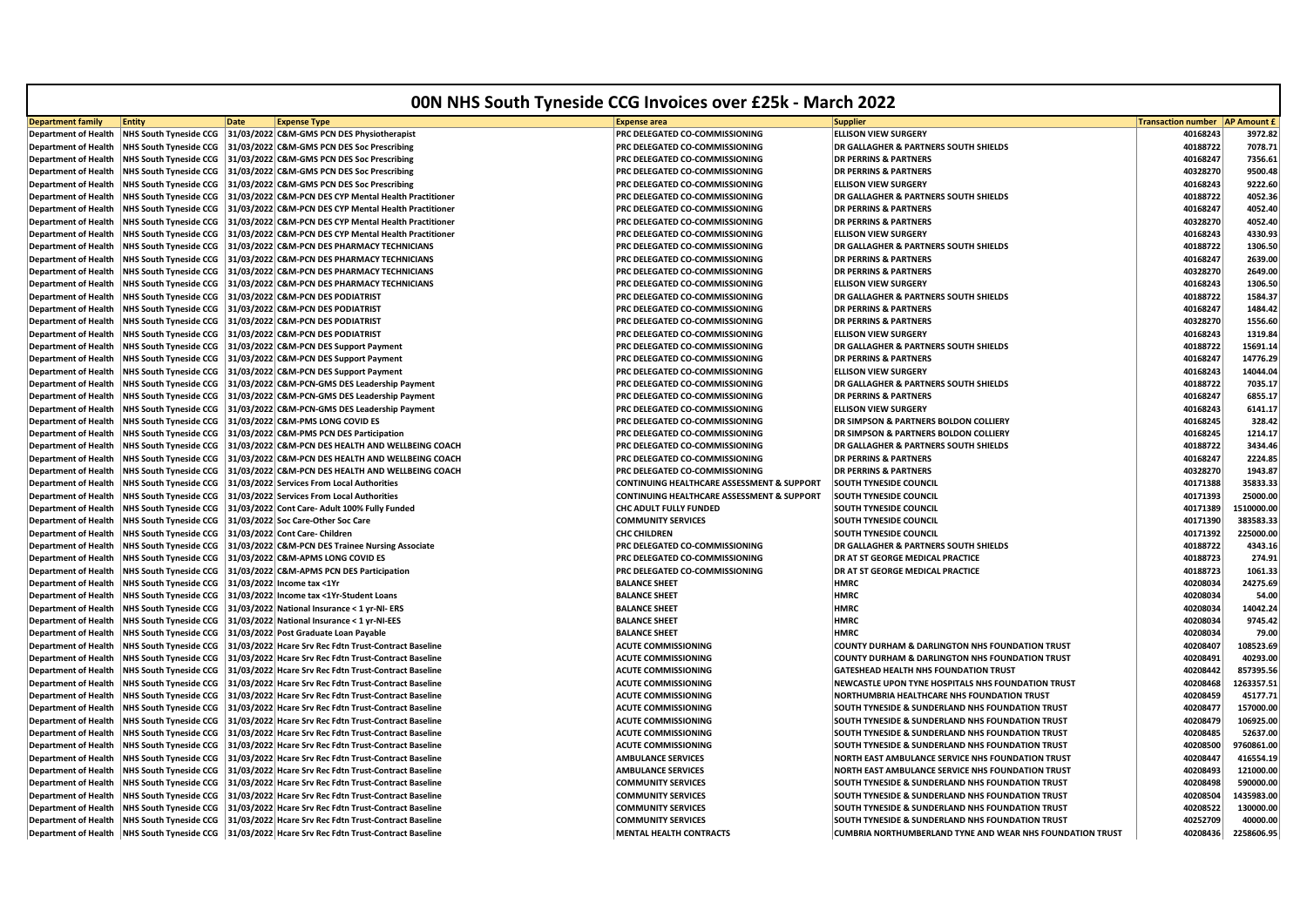| <b>00N NHS South Tyneside CCG Invoices over £25k - March 2022</b> |                               |                                                                                                         |                                                       |                                                                  |                           |                    |  |
|-------------------------------------------------------------------|-------------------------------|---------------------------------------------------------------------------------------------------------|-------------------------------------------------------|------------------------------------------------------------------|---------------------------|--------------------|--|
| <b>Department family</b>                                          | <b>Entity</b>                 | <b>Date</b><br><b>Expense Type</b>                                                                      | <b>Expense area</b>                                   | <b>Supplier</b>                                                  | <b>Transaction number</b> | <b>AP Amount £</b> |  |
| <b>Department of Health</b>                                       | <b>NHS South Tyneside CCG</b> | 31/03/2022 C&M-GMS PCN DES Physiotherapist                                                              | PRC DELEGATED CO-COMMISSIONING                        | <b>ELLISON VIEW SURGERY</b>                                      | 40168243                  | 3972.82            |  |
| <b>Department of Health</b>                                       | <b>NHS South Tyneside CCG</b> | 31/03/2022 C&M-GMS PCN DES Soc Prescribing                                                              | PRC DELEGATED CO-COMMISSIONING                        | DR GALLAGHER & PARTNERS SOUTH SHIELDS                            | 40188722                  | 7078.71            |  |
| <b>Department of Health</b>                                       | <b>NHS South Tyneside CCG</b> | 31/03/2022 C&M-GMS PCN DES Soc Prescribing                                                              | <b>PRC DELEGATED CO-COMMISSIONING</b>                 | <b>DR PERRINS &amp; PARTNERS</b>                                 | 40168247                  | 7356.61            |  |
| <b>Department of Health</b>                                       | <b>NHS South Tyneside CCG</b> | 31/03/2022 C&M-GMS PCN DES Soc Prescribing                                                              | <b>PRC DELEGATED CO-COMMISSIONING</b>                 | <b>DR PERRINS &amp; PARTNERS</b>                                 | 40328270                  | 9500.48            |  |
| <b>Department of Health</b>                                       | <b>NHS South Tyneside CCG</b> | 31/03/2022 C&M-GMS PCN DES Soc Prescribing                                                              | <b>PRC DELEGATED CO-COMMISSIONING</b>                 | <b>ELLISON VIEW SURGERY</b>                                      | 40168243                  | 9222.60            |  |
| <b>Department of Health</b>                                       | <b>NHS South Tyneside CCG</b> | 31/03/2022 C&M-PCN DES CYP Mental Health Practitioner                                                   | PRC DELEGATED CO-COMMISSIONING                        | DR GALLAGHER & PARTNERS SOUTH SHIELDS                            | 40188722                  | 4052.36            |  |
| <b>Department of Health</b>                                       | <b>NHS South Tyneside CCG</b> | 31/03/2022 C&M-PCN DES CYP Mental Health Practitioner                                                   | <b>PRC DELEGATED CO-COMMISSIONING</b>                 | <b>DR PERRINS &amp; PARTNERS</b>                                 | 40168247                  | 4052.40            |  |
| <b>Department of Health</b>                                       | <b>NHS South Tyneside CCG</b> | 31/03/2022 C&M-PCN DES CYP Mental Health Practitioner                                                   | PRC DELEGATED CO-COMMISSIONING                        | <b>DR PERRINS &amp; PARTNERS</b>                                 | 40328270                  | 4052.40            |  |
| <b>Department of Health</b>                                       | NHS South Tyneside CCG        | 31/03/2022 C&M-PCN DES CYP Mental Health Practitioner                                                   | <b>PRC DELEGATED CO-COMMISSIONING</b>                 | <b>ELLISON VIEW SURGERY</b>                                      | 40168243                  | 4330.93            |  |
| <b>Department of Health</b>                                       | <b>NHS South Tyneside CCG</b> | 31/03/2022 C&M-PCN DES PHARMACY TECHNICIANS                                                             | PRC DELEGATED CO-COMMISSIONING                        | <b>DR GALLAGHER &amp; PARTNERS SOUTH SHIELDS</b>                 | 40188722                  | 1306.50            |  |
| <b>Department of Health</b>                                       | <b>NHS South Tyneside CCG</b> | 31/03/2022 C&M-PCN DES PHARMACY TECHNICIANS                                                             | <b>PRC DELEGATED CO-COMMISSIONING</b>                 | <b>DR PERRINS &amp; PARTNERS</b>                                 | 40168247                  | 2639.00            |  |
| <b>Department of Health</b>                                       | <b>NHS South Tyneside CCG</b> | 31/03/2022 C&M-PCN DES PHARMACY TECHNICIANS                                                             | PRC DELEGATED CO-COMMISSIONING                        | <b>DR PERRINS &amp; PARTNERS</b>                                 | 40328270                  | 2649.00            |  |
| <b>Department of Health</b>                                       | <b>NHS South Tyneside CCG</b> | 31/03/2022 C&M-PCN DES PHARMACY TECHNICIANS                                                             | PRC DELEGATED CO-COMMISSIONING                        | <b>ELLISON VIEW SURGERY</b>                                      | 40168243                  | 1306.50            |  |
| <b>Department of Health</b>                                       | <b>NHS South Tyneside CCG</b> | 31/03/2022 C&M-PCN DES PODIATRIST                                                                       | PRC DELEGATED CO-COMMISSIONING                        | <b>DR GALLAGHER &amp; PARTNERS SOUTH SHIELDS</b>                 | 40188722                  | 1584.37            |  |
| <b>Department of Health</b>                                       | <b>NHS South Tyneside CCG</b> | 31/03/2022 C&M-PCN DES PODIATRIST                                                                       | PRC DELEGATED CO-COMMISSIONING                        | <b>DR PERRINS &amp; PARTNERS</b>                                 | 40168247                  | 1484.42            |  |
| <b>Department of Health</b>                                       | <b>NHS South Tyneside CCG</b> | 31/03/2022 C&M-PCN DES PODIATRIST                                                                       | PRC DELEGATED CO-COMMISSIONING                        | <b>DR PERRINS &amp; PARTNERS</b>                                 | 40328270                  | 1556.60            |  |
| <b>Department of Health</b>                                       |                               | NHS South Tyneside CCG 31/03/2022 C&M-PCN DES PODIATRIST                                                | PRC DELEGATED CO-COMMISSIONING                        | <b>ELLISON VIEW SURGERY</b>                                      | 40168243                  | 1319.84            |  |
| <b>Department of Health</b>                                       | <b>NHS South Tyneside CCG</b> | 31/03/2022 C&M-PCN DES Support Payment                                                                  | PRC DELEGATED CO-COMMISSIONING                        | <b>DR GALLAGHER &amp; PARTNERS SOUTH SHIELDS</b>                 | 40188722                  | 15691.14           |  |
| <b>Department of Health</b>                                       | <b>NHS South Tyneside CCG</b> | 31/03/2022 C&M-PCN DES Support Payment                                                                  | PRC DELEGATED CO-COMMISSIONING                        | <b>DR PERRINS &amp; PARTNERS</b>                                 | 40168247                  | 14776.29           |  |
| <b>Department of Health</b>                                       | <b>NHS South Tyneside CCG</b> | 31/03/2022 C&M-PCN DES Support Payment                                                                  | <b>PRC DELEGATED CO-COMMISSIONING</b>                 | <b>ELLISON VIEW SURGERY</b>                                      | 40168243                  | 14044.04           |  |
| <b>Department of Health</b>                                       | <b>NHS South Tyneside CCG</b> | 31/03/2022 C&M-PCN-GMS DES Leadership Payment                                                           | PRC DELEGATED CO-COMMISSIONING                        | <b>DR GALLAGHER &amp; PARTNERS SOUTH SHIELDS</b>                 | 40188722                  | 7035.17            |  |
| <b>Department of Health</b>                                       | <b>NHS South Tyneside CCG</b> | 31/03/2022 C&M-PCN-GMS DES Leadership Payment                                                           | PRC DELEGATED CO-COMMISSIONING                        | <b>DR PERRINS &amp; PARTNERS</b>                                 | 40168247                  | 6855.17            |  |
| <b>Department of Health</b>                                       | <b>NHS South Tyneside CCG</b> | 31/03/2022 C&M-PCN-GMS DES Leadership Payment                                                           | PRC DELEGATED CO-COMMISSIONING                        | <b>ELLISON VIEW SURGERY</b>                                      | 40168243                  | 6141.17            |  |
| <b>Department of Health</b>                                       | <b>NHS South Tyneside CCG</b> | 31/03/2022 C&M-PMS LONG COVID ES                                                                        | <b>PRC DELEGATED CO-COMMISSIONING</b>                 | DR SIMPSON & PARTNERS BOLDON COLLIERY                            | 40168245                  | 328.42             |  |
| <b>Department of Health</b>                                       | <b>NHS South Tyneside CCG</b> | 31/03/2022 C&M-PMS PCN DES Participation                                                                | <b>PRC DELEGATED CO-COMMISSIONING</b>                 | <b>DR SIMPSON &amp; PARTNERS BOLDON COLLIERY</b>                 | 40168245                  | 1214.17            |  |
| <b>Department of Health</b>                                       | <b>NHS South Tyneside CCG</b> | 31/03/2022 C&M-PCN DES HEALTH AND WELLBEING COACH                                                       | PRC DELEGATED CO-COMMISSIONING                        | <b>DR GALLAGHER &amp; PARTNERS SOUTH SHIELDS</b>                 | 40188722                  | 3434.46            |  |
| <b>Department of Health</b>                                       | <b>NHS South Tyneside CCG</b> | 31/03/2022 C&M-PCN DES HEALTH AND WELLBEING COACH                                                       | PRC DELEGATED CO-COMMISSIONING                        | <b>DR PERRINS &amp; PARTNERS</b>                                 | 40168247                  | 2224.85            |  |
| <b>Department of Health</b>                                       | <b>NHS South Tyneside CCG</b> | 31/03/2022 C&M-PCN DES HEALTH AND WELLBEING COACH                                                       | <b>PRC DELEGATED CO-COMMISSIONING</b>                 | <b>DR PERRINS &amp; PARTNERS</b>                                 | 40328270                  | 1943.87            |  |
| <b>Department of Health</b>                                       | <b>NHS South Tyneside CCG</b> | 31/03/2022 Services From Local Authorities                                                              | <b>CONTINUING HEALTHCARE ASSESSMENT &amp; SUPPORT</b> | <b>SOUTH TYNESIDE COUNCIL</b>                                    | 40171388                  | 35833.33           |  |
| <b>Department of Health</b>                                       | <b>NHS South Tyneside CCG</b> | 31/03/2022 Services From Local Authorities                                                              | <b>CONTINUING HEALTHCARE ASSESSMENT &amp; SUPPORT</b> | <b>SOUTH TYNESIDE COUNCIL</b>                                    | 40171393                  | 25000.00           |  |
| <b>Department of Health</b>                                       | <b>NHS South Tyneside CCG</b> | 31/03/2022 Cont Care- Adult 100% Fully Funded                                                           | CHC ADULT FULLY FUNDED                                | <b>SOUTH TYNESIDE COUNCIL</b>                                    | 40171389                  | 1510000.00         |  |
| <b>Department of Health</b>                                       | NHS South Tyneside CCG        | 31/03/2022 Soc Care-Other Soc Care                                                                      | <b>COMMUNITY SERVICES</b>                             | <b>SOUTH TYNESIDE COUNCIL</b>                                    | 40171390                  | 383583.33          |  |
| <b>Department of Health</b>                                       | <b>NHS South Tyneside CCG</b> | 31/03/2022 Cont Care- Children                                                                          | <b>CHC CHILDREN</b>                                   | <b>SOUTH TYNESIDE COUNCIL</b>                                    | 40171392                  | 225000.00          |  |
| <b>Department of Health</b>                                       | <b>NHS South Tyneside CCG</b> | 31/03/2022 C&M-PCN DES Trainee Nursing Associate                                                        | PRC DELEGATED CO-COMMISSIONING                        | <b>DR GALLAGHER &amp; PARTNERS SOUTH SHIELDS</b>                 | 40188722                  | 4343.16            |  |
| <b>Department of Health</b>                                       | <b>NHS South Tyneside CCG</b> | 31/03/2022 C&M-APMS LONG COVID ES                                                                       | PRC DELEGATED CO-COMMISSIONING                        | DR AT ST GEORGE MEDICAL PRACTICE                                 | 40188723                  | 274.91             |  |
| <b>Department of Health</b>                                       | <b>NHS South Tyneside CCG</b> | 31/03/2022 C&M-APMS PCN DES Participation                                                               | PRC DELEGATED CO-COMMISSIONING                        | <b>DR AT ST GEORGE MEDICAL PRACTICE</b>                          | 40188723                  | 1061.33            |  |
| <b>Department of Health</b>                                       | <b>NHS South Tyneside CCG</b> | 31/03/2022 Income tax <1Yr                                                                              | <b>BALANCE SHEET</b>                                  | <b>HMRC</b>                                                      | 40208034                  | 24275.69           |  |
| <b>Department of Health</b>                                       | <b>NHS South Tyneside CCG</b> | 31/03/2022 Income tax <1Yr-Student Loans                                                                | <b>BALANCE SHEET</b>                                  | <b>HMRC</b>                                                      | 40208034                  | 54.00              |  |
| <b>Department of Health</b>                                       | <b>NHS South Tyneside CCG</b> | 31/03/2022 National Insurance < 1 yr-NI- ERS                                                            | <b>BALANCE SHEET</b>                                  | <b>HMRC</b>                                                      | 40208034                  | 14042.24           |  |
| <b>Department of Health</b>                                       | <b>NHS South Tyneside CCG</b> | 31/03/2022 National Insurance < 1 yr-NI-EES                                                             | <b>BALANCE SHEET</b>                                  | <b>HMRC</b>                                                      | 40208034                  | 9745.42            |  |
| <b>Department of Health</b>                                       | <b>NHS South Tyneside CCG</b> | 31/03/2022 Post Graduate Loan Payable                                                                   | <b>BALANCE SHEET</b>                                  | <b>HMRC</b>                                                      | 40208034                  | 79.00              |  |
| <b>Department of Health</b>                                       | <b>NHS South Tyneside CCG</b> | 31/03/2022 Hcare Srv Rec Fdtn Trust-Contract Baseline                                                   | <b>ACUTE COMMISSIONING</b>                            | <b>COUNTY DURHAM &amp; DARLINGTON NHS FOUNDATION TRUST</b>       | 40208407                  | 108523.69          |  |
| <b>Department of Health</b>                                       | <b>NHS South Tyneside CCG</b> | 31/03/2022 Hcare Srv Rec Fdtn Trust-Contract Baseline                                                   | <b>ACUTE COMMISSIONING</b>                            | <b>COUNTY DURHAM &amp; DARLINGTON NHS FOUNDATION TRUST</b>       | 40208491                  | 40293.00           |  |
| <b>Department of Health</b>                                       | <b>NHS South Tyneside CCG</b> | 31/03/2022 Hcare Srv Rec Fdtn Trust-Contract Baseline                                                   | <b>ACUTE COMMISSIONING</b>                            | GATESHEAD HEALTH NHS FOUNDATION TRUST                            | 40208442                  | 857395.56          |  |
| <b>Department of Health</b>                                       | <b>NHS South Tyneside CCG</b> | 31/03/2022 Hcare Srv Rec Fdtn Trust-Contract Baseline                                                   | <b>ACUTE COMMISSIONING</b>                            | NEWCASTLE UPON TYNE HOSPITALS NHS FOUNDATION TRUST               | 40208468                  | 1263357.51         |  |
| <b>Department of Health</b>                                       | <b>NHS South Tyneside CCG</b> | 31/03/2022 Hcare Srv Rec Fdtn Trust-Contract Baseline                                                   | <b>ACUTE COMMISSIONING</b>                            | NORTHUMBRIA HEALTHCARE NHS FOUNDATION TRUST                      | 40208459                  | 45177.71           |  |
| <b>Department of Health</b>                                       | <b>NHS South Tyneside CCG</b> | 31/03/2022 Hcare Srv Rec Fdtn Trust-Contract Baseline                                                   | <b>ACUTE COMMISSIONING</b>                            | <b>SOUTH TYNESIDE &amp; SUNDERLAND NHS FOUNDATION TRUST</b>      | 40208477                  | 157000.00          |  |
| <b>Department of Health</b>                                       | <b>NHS South Tyneside CCG</b> | 31/03/2022 Hcare Srv Rec Fdtn Trust-Contract Baseline                                                   | <b>ACUTE COMMISSIONING</b>                            | <b>SOUTH TYNESIDE &amp; SUNDERLAND NHS FOUNDATION TRUST</b>      | 40208479                  | 106925.00          |  |
| <b>Department of Health</b>                                       | <b>NHS South Tyneside CCG</b> | 31/03/2022 Hcare Srv Rec Fdtn Trust-Contract Baseline                                                   | <b>ACUTE COMMISSIONING</b>                            | <b>SOUTH TYNESIDE &amp; SUNDERLAND NHS FOUNDATION TRUST</b>      | 40208485                  | 52637.00           |  |
| <b>Department of Health</b>                                       | <b>NHS South Tyneside CCG</b> | 31/03/2022 Hcare Srv Rec Fdtn Trust-Contract Baseline                                                   | <b>ACUTE COMMISSIONING</b>                            | <b>SOUTH TYNESIDE &amp; SUNDERLAND NHS FOUNDATION TRUST</b>      | 40208500                  | 9760861.00         |  |
| <b>Department of Health</b>                                       | <b>NHS South Tyneside CCG</b> | 31/03/2022 Hcare Srv Rec Fdtn Trust-Contract Baseline                                                   | <b>AMBULANCE SERVICES</b>                             | NORTH EAST AMBULANCE SERVICE NHS FOUNDATION TRUST                | 40208447                  | 416554.19          |  |
| <b>Department of Health</b>                                       | <b>NHS South Tyneside CCG</b> | 31/03/2022 Hcare Srv Rec Fdtn Trust-Contract Baseline                                                   | <b>AMBULANCE SERVICES</b>                             | NORTH EAST AMBULANCE SERVICE NHS FOUNDATION TRUST                | 40208493                  | 121000.00          |  |
| <b>Department of Health</b>                                       | <b>NHS South Tyneside CCG</b> | 31/03/2022 Hcare Srv Rec Fdtn Trust-Contract Baseline                                                   | <b>COMMUNITY SERVICES</b>                             | SOUTH TYNESIDE & SUNDERLAND NHS FOUNDATION TRUST                 | 40208498                  | 590000.00          |  |
| <b>Department of Health</b>                                       | <b>NHS South Tyneside CCG</b> | 31/03/2022 Hcare Srv Rec Fdtn Trust-Contract Baseline                                                   | <b>COMMUNITY SERVICES</b>                             | <b>SOUTH TYNESIDE &amp; SUNDERLAND NHS FOUNDATION TRUST</b>      | 40208504                  | 1435983.00         |  |
| <b>Department of Health</b>                                       | <b>NHS South Tyneside CCG</b> | 31/03/2022 Hcare Srv Rec Fdtn Trust-Contract Baseline                                                   | <b>COMMUNITY SERVICES</b>                             | <b>SOUTH TYNESIDE &amp; SUNDERLAND NHS FOUNDATION TRUST</b>      | 40208522                  | 130000.00          |  |
| <b>Department of Health</b>                                       |                               | NHS South Tyneside CCG   31/03/2022 Hcare Srv Rec Fdtn Trust-Contract Baseline                          | <b>COMMUNITY SERVICES</b>                             | SOUTH TYNESIDE & SUNDERLAND NHS FOUNDATION TRUST                 | 40252709                  | 40000.00           |  |
|                                                                   |                               | Department of Health   NHS South Tyneside CCG   31/03/2022   Hcare Srv Rec Fdtn Trust-Contract Baseline | <b>MENTAL HEALTH CONTRACTS</b>                        | <b>CUMBRIA NORTHUMBERLAND TYNE AND WEAR NHS FOUNDATION TRUST</b> | 40208436                  | 2258606.95         |  |
|                                                                   |                               |                                                                                                         |                                                       |                                                                  |                           |                    |  |